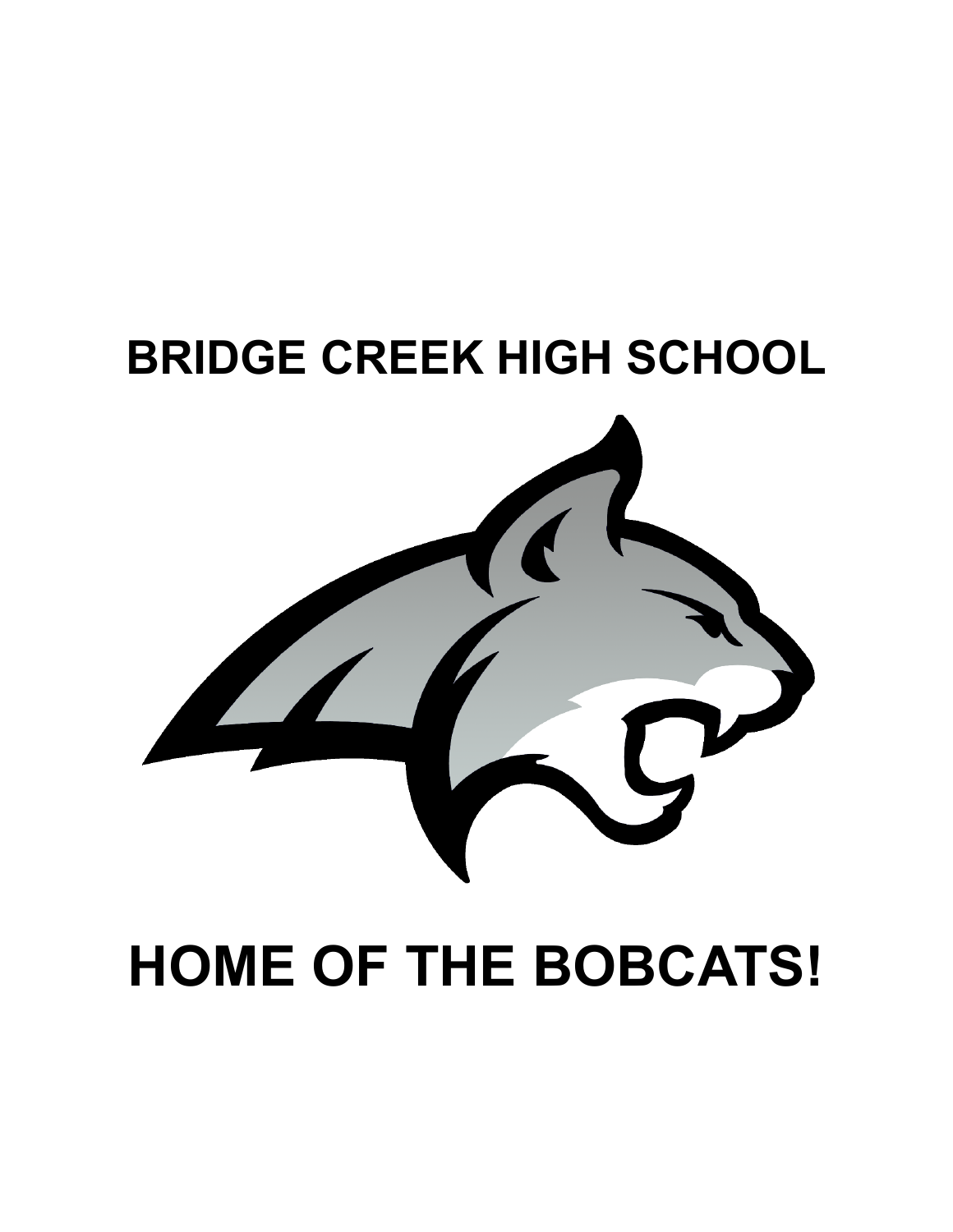# **BRIDGE CREEK HIGH SCHOOL**



# **HOME OF THE BOBCATS!**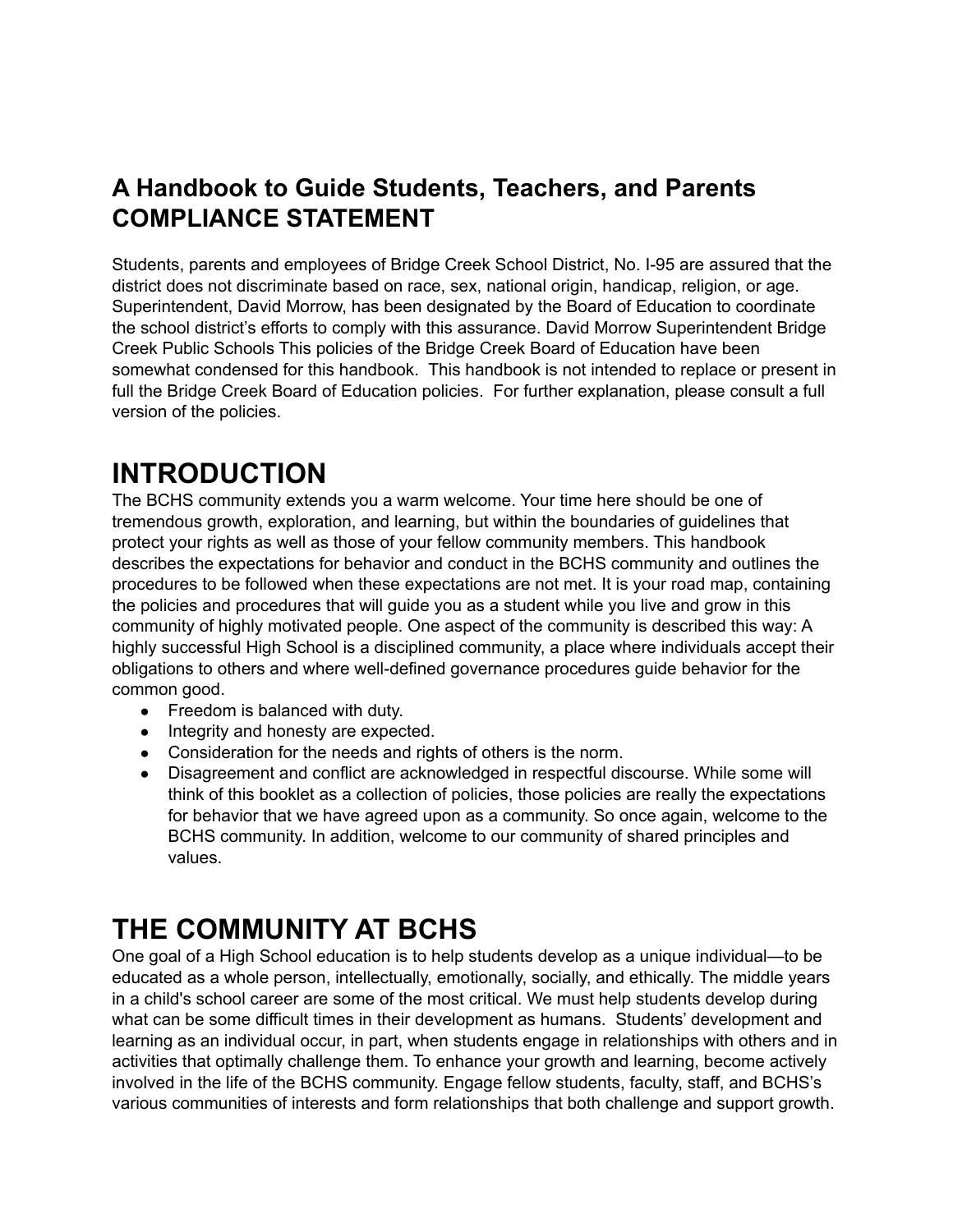### **A Handbook to Guide Students, Teachers, and Parents COMPLIANCE STATEMENT**

Students, parents and employees of Bridge Creek School District, No. I-95 are assured that the district does not discriminate based on race, sex, national origin, handicap, religion, or age. Superintendent, David Morrow, has been designated by the Board of Education to coordinate the school district's efforts to comply with this assurance. David Morrow Superintendent Bridge Creek Public Schools This policies of the Bridge Creek Board of Education have been somewhat condensed for this handbook. This handbook is not intended to replace or present in full the Bridge Creek Board of Education policies. For further explanation, please consult a full version of the policies.

### **INTRODUCTION**

The BCHS community extends you a warm welcome. Your time here should be one of tremendous growth, exploration, and learning, but within the boundaries of guidelines that protect your rights as well as those of your fellow community members. This handbook describes the expectations for behavior and conduct in the BCHS community and outlines the procedures to be followed when these expectations are not met. It is your road map, containing the policies and procedures that will guide you as a student while you live and grow in this community of highly motivated people. One aspect of the community is described this way: A highly successful High School is a disciplined community, a place where individuals accept their obligations to others and where well-defined governance procedures guide behavior for the common good.

- Freedom is balanced with duty.
- Integrity and honesty are expected.
- Consideration for the needs and rights of others is the norm.
- Disagreement and conflict are acknowledged in respectful discourse. While some will think of this booklet as a collection of policies, those policies are really the expectations for behavior that we have agreed upon as a community. So once again, welcome to the BCHS community. In addition, welcome to our community of shared principles and values.

# **THE COMMUNITY AT BCHS**

One goal of a High School education is to help students develop as a unique individual—to be educated as a whole person, intellectually, emotionally, socially, and ethically. The middle years in a child's school career are some of the most critical. We must help students develop during what can be some difficult times in their development as humans. Students' development and learning as an individual occur, in part, when students engage in relationships with others and in activities that optimally challenge them. To enhance your growth and learning, become actively involved in the life of the BCHS community. Engage fellow students, faculty, staff, and BCHS's various communities of interests and form relationships that both challenge and support growth.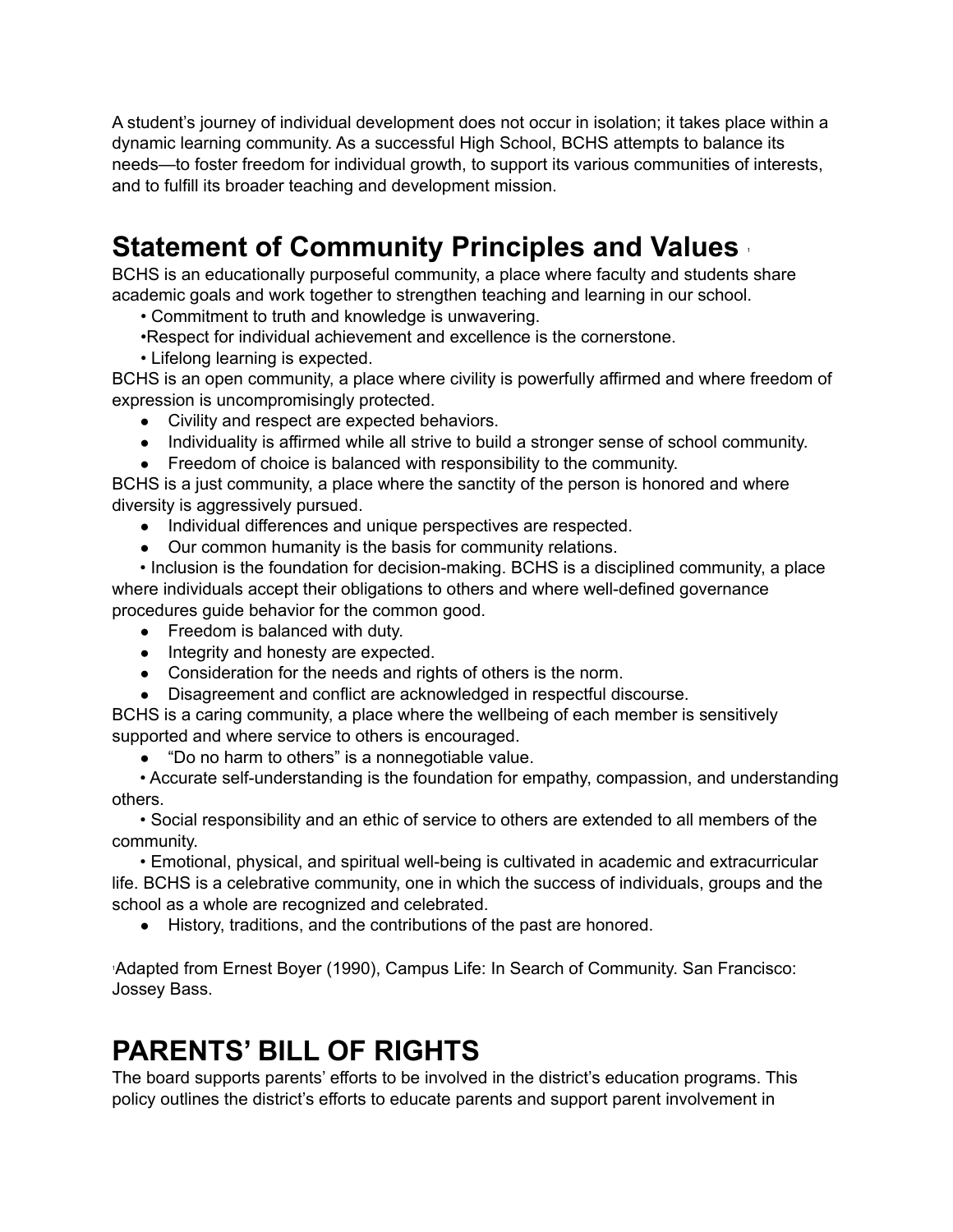A student's journey of individual development does not occur in isolation; it takes place within a dynamic learning community. As a successful High School, BCHS attempts to balance its needs—to foster freedom for individual growth, to support its various communities of interests, and to fulfill its broader teaching and development mission.

# **Statement of Community Principles and Values** <sup>1</sup>

BCHS is an educationally purposeful community, a place where faculty and students share academic goals and work together to strengthen teaching and learning in our school.

• Commitment to truth and knowledge is unwavering.

•Respect for individual achievement and excellence is the cornerstone.

• Lifelong learning is expected.

BCHS is an open community, a place where civility is powerfully affirmed and where freedom of expression is uncompromisingly protected.

- Civility and respect are expected behaviors.
- Individuality is affirmed while all strive to build a stronger sense of school community.
- Freedom of choice is balanced with responsibility to the community.

BCHS is a just community, a place where the sanctity of the person is honored and where diversity is aggressively pursued.

- Individual differences and unique perspectives are respected.
- Our common humanity is the basis for community relations.

• Inclusion is the foundation for decision-making. BCHS is a disciplined community, a place where individuals accept their obligations to others and where well-defined governance procedures guide behavior for the common good.

- Freedom is balanced with duty.
- Integrity and honesty are expected.
- Consideration for the needs and rights of others is the norm.
- Disagreement and conflict are acknowledged in respectful discourse.

BCHS is a caring community, a place where the wellbeing of each member is sensitively supported and where service to others is encouraged.

• "Do no harm to others" is a nonnegotiable value.

• Accurate self-understanding is the foundation for empathy, compassion, and understanding others.

• Social responsibility and an ethic of service to others are extended to all members of the community.

• Emotional, physical, and spiritual well-being is cultivated in academic and extracurricular life. BCHS is a celebrative community, one in which the success of individuals, groups and the school as a whole are recognized and celebrated.

● History, traditions, and the contributions of the past are honored.

<sup>1</sup>Adapted from Ernest Boyer (1990), Campus Life: In Search of Community. San Francisco: Jossey Bass.

### **PARENTS' BILL OF RIGHTS**

The board supports parents' efforts to be involved in the district's education programs. This policy outlines the district's efforts to educate parents and support parent involvement in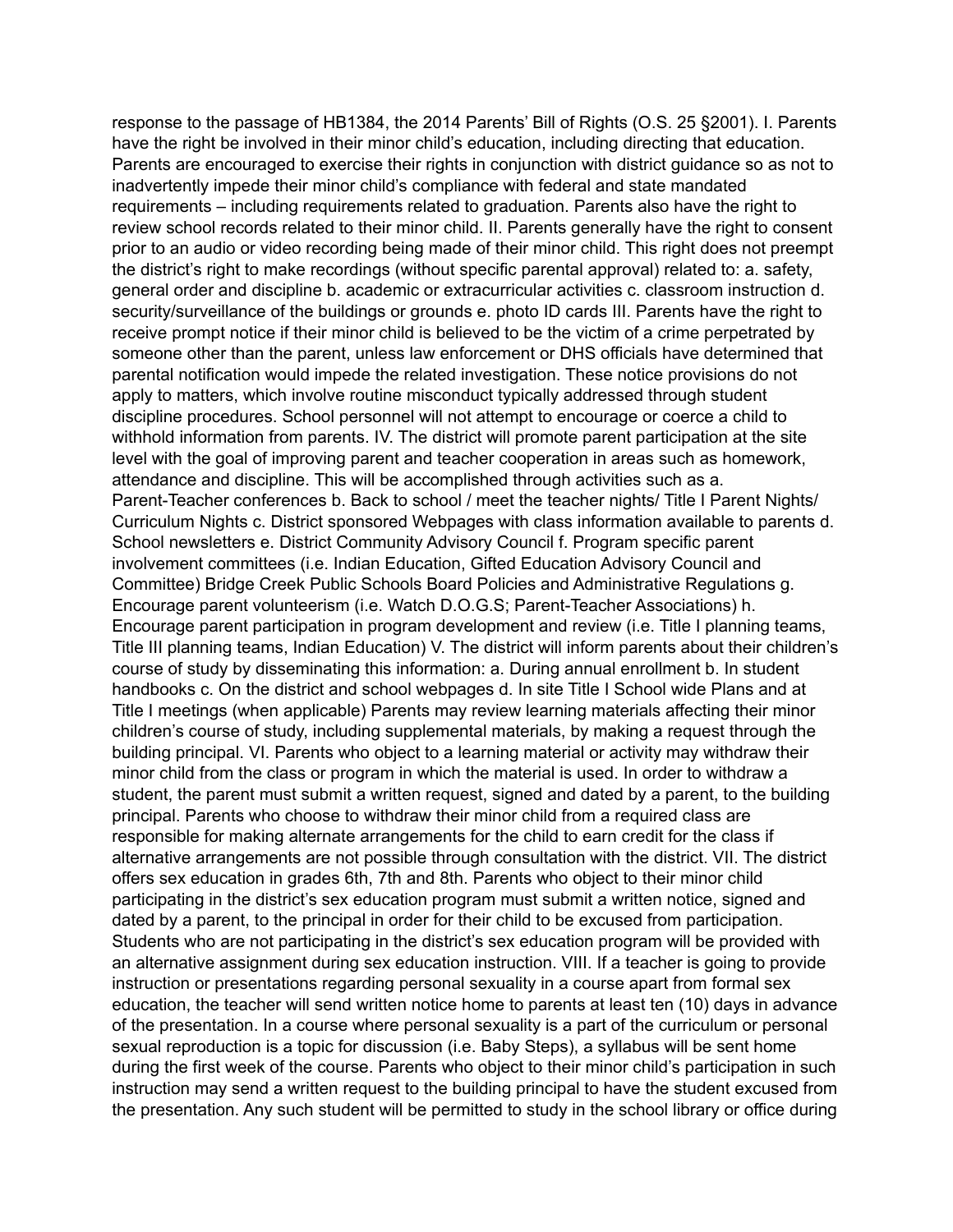response to the passage of HB1384, the 2014 Parents' Bill of Rights (O.S. 25 §2001). I. Parents have the right be involved in their minor child's education, including directing that education. Parents are encouraged to exercise their rights in conjunction with district guidance so as not to inadvertently impede their minor child's compliance with federal and state mandated requirements – including requirements related to graduation. Parents also have the right to review school records related to their minor child. II. Parents generally have the right to consent prior to an audio or video recording being made of their minor child. This right does not preempt the district's right to make recordings (without specific parental approval) related to: a. safety, general order and discipline b. academic or extracurricular activities c. classroom instruction d. security/surveillance of the buildings or grounds e. photo ID cards III. Parents have the right to receive prompt notice if their minor child is believed to be the victim of a crime perpetrated by someone other than the parent, unless law enforcement or DHS officials have determined that parental notification would impede the related investigation. These notice provisions do not apply to matters, which involve routine misconduct typically addressed through student discipline procedures. School personnel will not attempt to encourage or coerce a child to withhold information from parents. IV. The district will promote parent participation at the site level with the goal of improving parent and teacher cooperation in areas such as homework, attendance and discipline. This will be accomplished through activities such as a. Parent-Teacher conferences b. Back to school / meet the teacher nights/ Title I Parent Nights/ Curriculum Nights c. District sponsored Webpages with class information available to parents d. School newsletters e. District Community Advisory Council f. Program specific parent involvement committees (i.e. Indian Education, Gifted Education Advisory Council and Committee) Bridge Creek Public Schools Board Policies and Administrative Regulations g. Encourage parent volunteerism (i.e. Watch D.O.G.S; Parent-Teacher Associations) h. Encourage parent participation in program development and review (i.e. Title I planning teams, Title III planning teams, Indian Education) V. The district will inform parents about their children's course of study by disseminating this information: a. During annual enrollment b. In student handbooks c. On the district and school webpages d. In site Title I School wide Plans and at Title I meetings (when applicable) Parents may review learning materials affecting their minor children's course of study, including supplemental materials, by making a request through the building principal. VI. Parents who object to a learning material or activity may withdraw their minor child from the class or program in which the material is used. In order to withdraw a student, the parent must submit a written request, signed and dated by a parent, to the building principal. Parents who choose to withdraw their minor child from a required class are responsible for making alternate arrangements for the child to earn credit for the class if alternative arrangements are not possible through consultation with the district. VII. The district offers sex education in grades 6th, 7th and 8th. Parents who object to their minor child participating in the district's sex education program must submit a written notice, signed and dated by a parent, to the principal in order for their child to be excused from participation. Students who are not participating in the district's sex education program will be provided with an alternative assignment during sex education instruction. VIII. If a teacher is going to provide instruction or presentations regarding personal sexuality in a course apart from formal sex education, the teacher will send written notice home to parents at least ten (10) days in advance of the presentation. In a course where personal sexuality is a part of the curriculum or personal sexual reproduction is a topic for discussion (i.e. Baby Steps), a syllabus will be sent home during the first week of the course. Parents who object to their minor child's participation in such instruction may send a written request to the building principal to have the student excused from the presentation. Any such student will be permitted to study in the school library or office during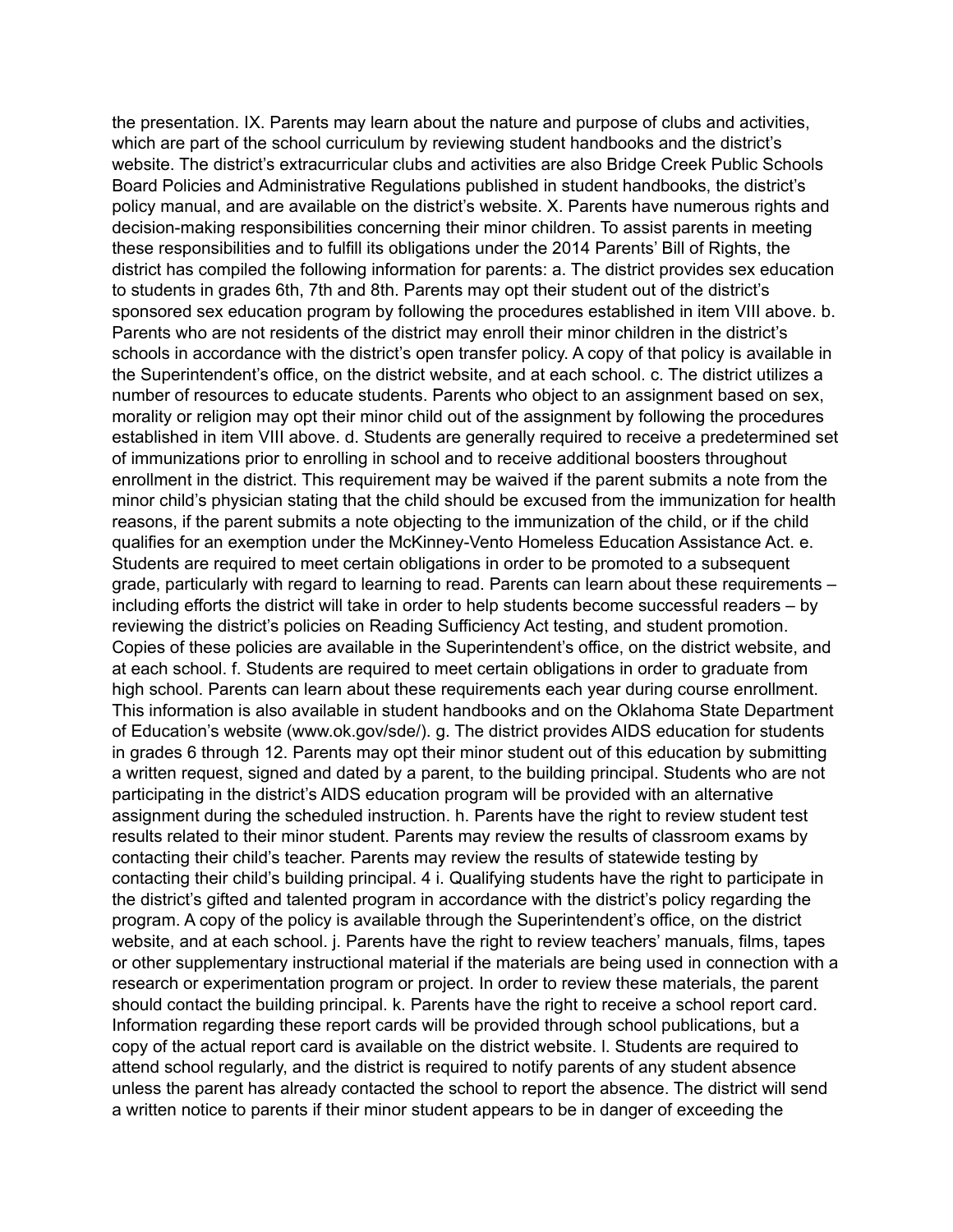the presentation. IX. Parents may learn about the nature and purpose of clubs and activities, which are part of the school curriculum by reviewing student handbooks and the district's website. The district's extracurricular clubs and activities are also Bridge Creek Public Schools Board Policies and Administrative Regulations published in student handbooks, the district's policy manual, and are available on the district's website. X. Parents have numerous rights and decision-making responsibilities concerning their minor children. To assist parents in meeting these responsibilities and to fulfill its obligations under the 2014 Parents' Bill of Rights, the district has compiled the following information for parents: a. The district provides sex education to students in grades 6th, 7th and 8th. Parents may opt their student out of the district's sponsored sex education program by following the procedures established in item VIII above. b. Parents who are not residents of the district may enroll their minor children in the district's schools in accordance with the district's open transfer policy. A copy of that policy is available in the Superintendent's office, on the district website, and at each school. c. The district utilizes a number of resources to educate students. Parents who object to an assignment based on sex, morality or religion may opt their minor child out of the assignment by following the procedures established in item VIII above. d. Students are generally required to receive a predetermined set of immunizations prior to enrolling in school and to receive additional boosters throughout enrollment in the district. This requirement may be waived if the parent submits a note from the minor child's physician stating that the child should be excused from the immunization for health reasons, if the parent submits a note objecting to the immunization of the child, or if the child qualifies for an exemption under the McKinney-Vento Homeless Education Assistance Act. e. Students are required to meet certain obligations in order to be promoted to a subsequent grade, particularly with regard to learning to read. Parents can learn about these requirements – including efforts the district will take in order to help students become successful readers – by reviewing the district's policies on Reading Sufficiency Act testing, and student promotion. Copies of these policies are available in the Superintendent's office, on the district website, and at each school. f. Students are required to meet certain obligations in order to graduate from high school. Parents can learn about these requirements each year during course enrollment. This information is also available in student handbooks and on the Oklahoma State Department of Education's website (www.ok.gov/sde/). g. The district provides AIDS education for students in grades 6 through 12. Parents may opt their minor student out of this education by submitting a written request, signed and dated by a parent, to the building principal. Students who are not participating in the district's AIDS education program will be provided with an alternative assignment during the scheduled instruction. h. Parents have the right to review student test results related to their minor student. Parents may review the results of classroom exams by contacting their child's teacher. Parents may review the results of statewide testing by contacting their child's building principal. 4 i. Qualifying students have the right to participate in the district's gifted and talented program in accordance with the district's policy regarding the program. A copy of the policy is available through the Superintendent's office, on the district website, and at each school. j. Parents have the right to review teachers' manuals, films, tapes or other supplementary instructional material if the materials are being used in connection with a research or experimentation program or project. In order to review these materials, the parent should contact the building principal. k. Parents have the right to receive a school report card. Information regarding these report cards will be provided through school publications, but a copy of the actual report card is available on the district website. l. Students are required to attend school regularly, and the district is required to notify parents of any student absence unless the parent has already contacted the school to report the absence. The district will send a written notice to parents if their minor student appears to be in danger of exceeding the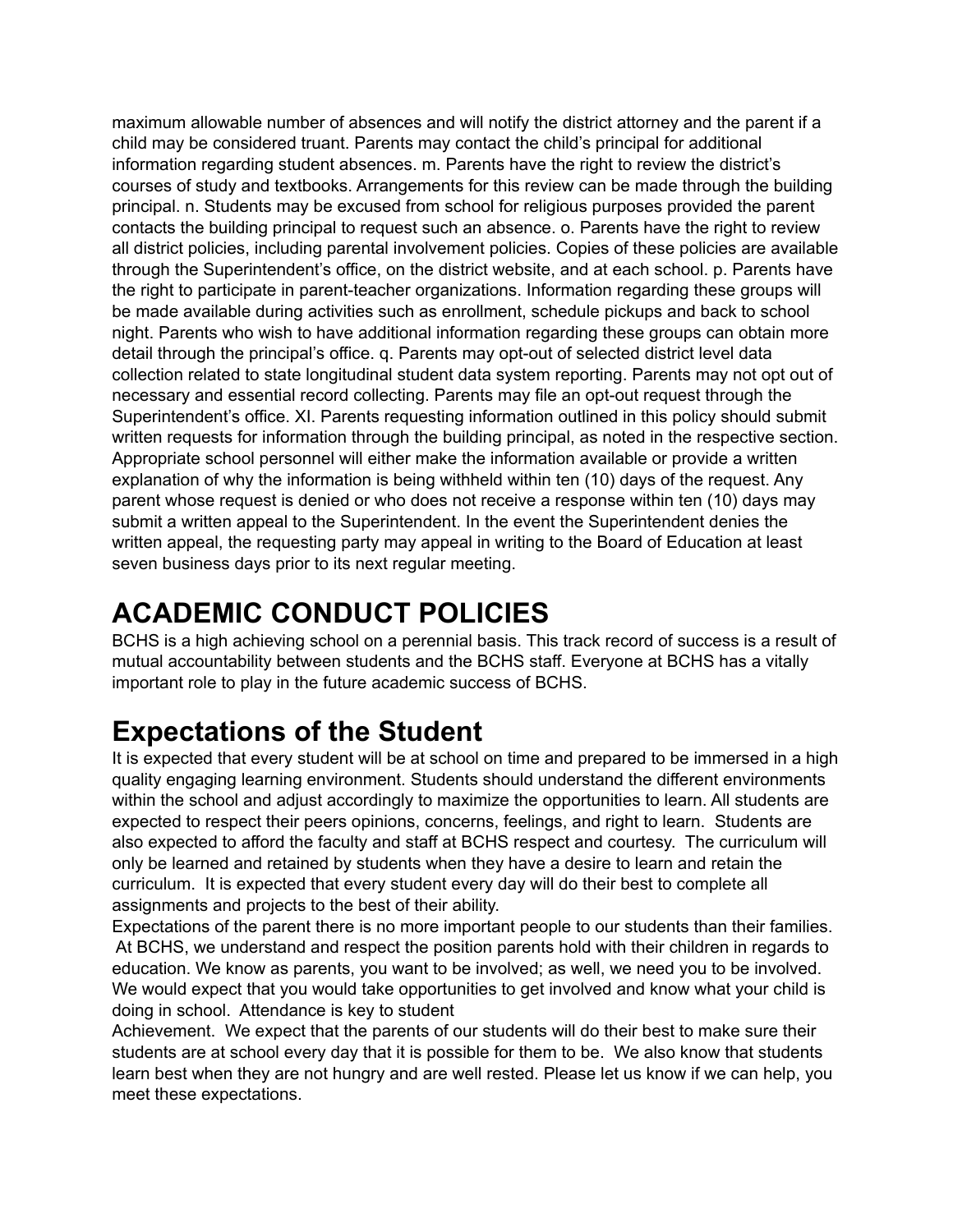maximum allowable number of absences and will notify the district attorney and the parent if a child may be considered truant. Parents may contact the child's principal for additional information regarding student absences. m. Parents have the right to review the district's courses of study and textbooks. Arrangements for this review can be made through the building principal. n. Students may be excused from school for religious purposes provided the parent contacts the building principal to request such an absence. o. Parents have the right to review all district policies, including parental involvement policies. Copies of these policies are available through the Superintendent's office, on the district website, and at each school. p. Parents have the right to participate in parent-teacher organizations. Information regarding these groups will be made available during activities such as enrollment, schedule pickups and back to school night. Parents who wish to have additional information regarding these groups can obtain more detail through the principal's office. q. Parents may opt-out of selected district level data collection related to state longitudinal student data system reporting. Parents may not opt out of necessary and essential record collecting. Parents may file an opt-out request through the Superintendent's office. XI. Parents requesting information outlined in this policy should submit written requests for information through the building principal, as noted in the respective section. Appropriate school personnel will either make the information available or provide a written explanation of why the information is being withheld within ten (10) days of the request. Any parent whose request is denied or who does not receive a response within ten (10) days may submit a written appeal to the Superintendent. In the event the Superintendent denies the written appeal, the requesting party may appeal in writing to the Board of Education at least seven business days prior to its next regular meeting.

# **ACADEMIC CONDUCT POLICIES**

BCHS is a high achieving school on a perennial basis. This track record of success is a result of mutual accountability between students and the BCHS staff. Everyone at BCHS has a vitally important role to play in the future academic success of BCHS.

# **Expectations of the Student**

It is expected that every student will be at school on time and prepared to be immersed in a high quality engaging learning environment. Students should understand the different environments within the school and adjust accordingly to maximize the opportunities to learn. All students are expected to respect their peers opinions, concerns, feelings, and right to learn. Students are also expected to afford the faculty and staff at BCHS respect and courtesy. The curriculum will only be learned and retained by students when they have a desire to learn and retain the curriculum. It is expected that every student every day will do their best to complete all assignments and projects to the best of their ability.

Expectations of the parent there is no more important people to our students than their families. At BCHS, we understand and respect the position parents hold with their children in regards to education. We know as parents, you want to be involved; as well, we need you to be involved. We would expect that you would take opportunities to get involved and know what your child is doing in school. Attendance is key to student

Achievement. We expect that the parents of our students will do their best to make sure their students are at school every day that it is possible for them to be. We also know that students learn best when they are not hungry and are well rested. Please let us know if we can help, you meet these expectations.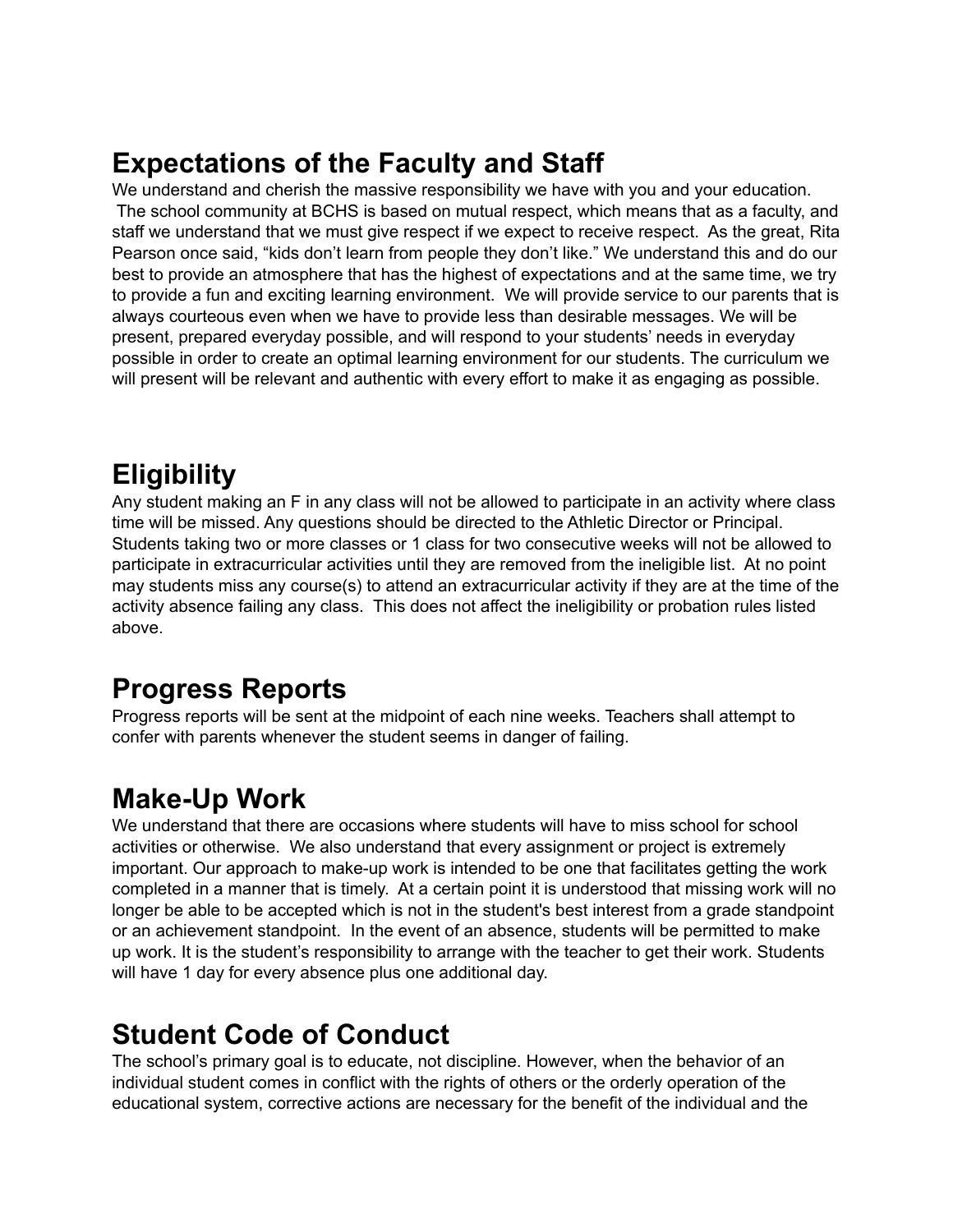# **Expectations of the Faculty and Staff**

We understand and cherish the massive responsibility we have with you and your education. The school community at BCHS is based on mutual respect, which means that as a faculty, and staff we understand that we must give respect if we expect to receive respect. As the great, Rita Pearson once said, "kids don't learn from people they don't like." We understand this and do our best to provide an atmosphere that has the highest of expectations and at the same time, we try to provide a fun and exciting learning environment. We will provide service to our parents that is always courteous even when we have to provide less than desirable messages. We will be present, prepared everyday possible, and will respond to your students' needs in everyday possible in order to create an optimal learning environment for our students. The curriculum we will present will be relevant and authentic with every effort to make it as engaging as possible.

# **Eligibility**

Any student making an F in any class will not be allowed to participate in an activity where class time will be missed. Any questions should be directed to the Athletic Director or Principal. Students taking two or more classes or 1 class for two consecutive weeks will not be allowed to participate in extracurricular activities until they are removed from the ineligible list. At no point may students miss any course(s) to attend an extracurricular activity if they are at the time of the activity absence failing any class. This does not affect the ineligibility or probation rules listed above.

### **Progress Reports**

Progress reports will be sent at the midpoint of each nine weeks. Teachers shall attempt to confer with parents whenever the student seems in danger of failing.

### **Make-Up Work**

We understand that there are occasions where students will have to miss school for school activities or otherwise. We also understand that every assignment or project is extremely important. Our approach to make-up work is intended to be one that facilitates getting the work completed in a manner that is timely. At a certain point it is understood that missing work will no longer be able to be accepted which is not in the student's best interest from a grade standpoint or an achievement standpoint. In the event of an absence, students will be permitted to make up work. It is the student's responsibility to arrange with the teacher to get their work. Students will have 1 day for every absence plus one additional day.

# **Student Code of Conduct**

The school's primary goal is to educate, not discipline. However, when the behavior of an individual student comes in conflict with the rights of others or the orderly operation of the educational system, corrective actions are necessary for the benefit of the individual and the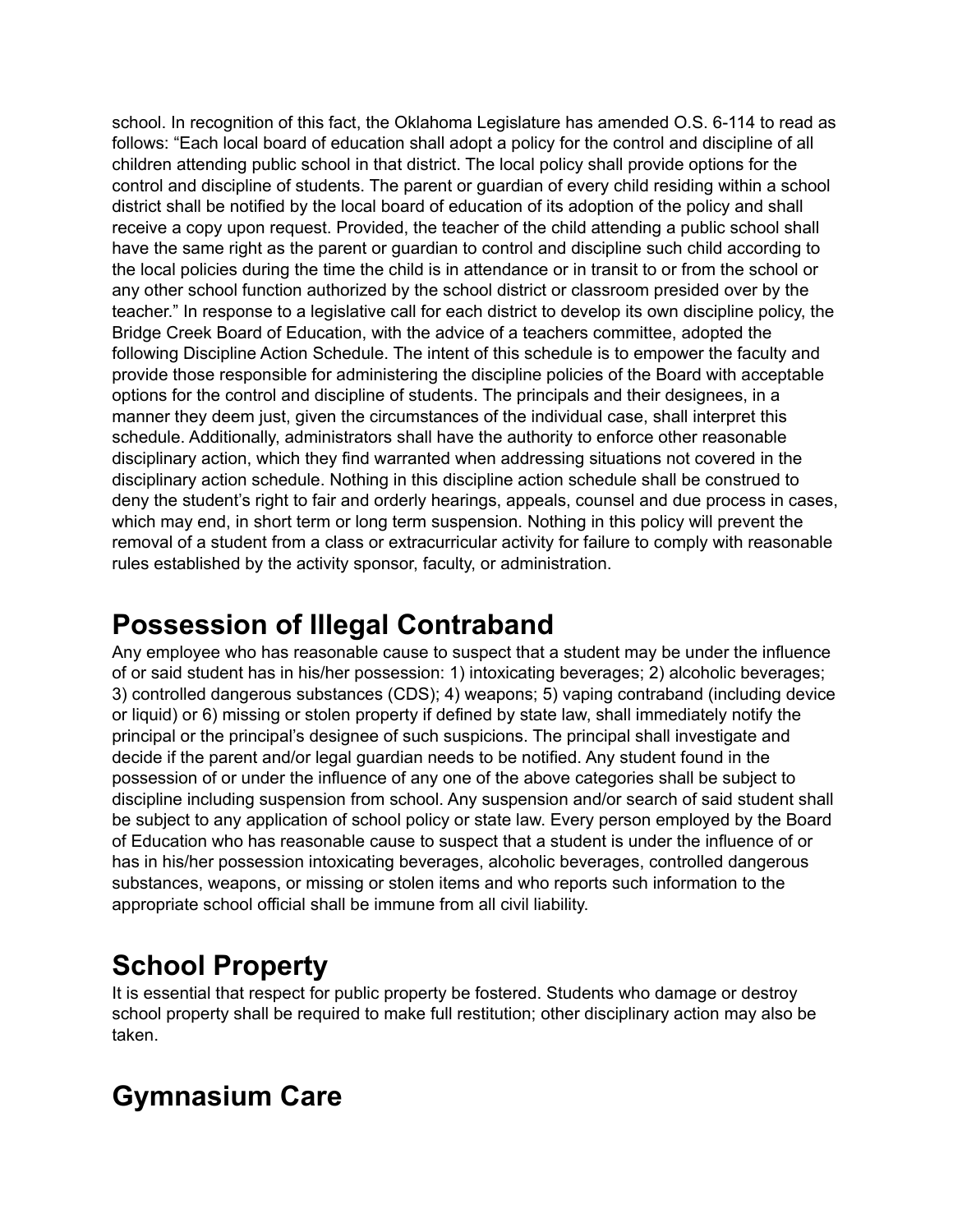school. In recognition of this fact, the Oklahoma Legislature has amended O.S. 6-114 to read as follows: "Each local board of education shall adopt a policy for the control and discipline of all children attending public school in that district. The local policy shall provide options for the control and discipline of students. The parent or guardian of every child residing within a school district shall be notified by the local board of education of its adoption of the policy and shall receive a copy upon request. Provided, the teacher of the child attending a public school shall have the same right as the parent or guardian to control and discipline such child according to the local policies during the time the child is in attendance or in transit to or from the school or any other school function authorized by the school district or classroom presided over by the teacher." In response to a legislative call for each district to develop its own discipline policy, the Bridge Creek Board of Education, with the advice of a teachers committee, adopted the following Discipline Action Schedule. The intent of this schedule is to empower the faculty and provide those responsible for administering the discipline policies of the Board with acceptable options for the control and discipline of students. The principals and their designees, in a manner they deem just, given the circumstances of the individual case, shall interpret this schedule. Additionally, administrators shall have the authority to enforce other reasonable disciplinary action, which they find warranted when addressing situations not covered in the disciplinary action schedule. Nothing in this discipline action schedule shall be construed to deny the student's right to fair and orderly hearings, appeals, counsel and due process in cases, which may end, in short term or long term suspension. Nothing in this policy will prevent the removal of a student from a class or extracurricular activity for failure to comply with reasonable rules established by the activity sponsor, faculty, or administration.

### **Possession of Illegal Contraband**

Any employee who has reasonable cause to suspect that a student may be under the influence of or said student has in his/her possession: 1) intoxicating beverages; 2) alcoholic beverages; 3) controlled dangerous substances (CDS); 4) weapons; 5) vaping contraband (including device or liquid) or 6) missing or stolen property if defined by state law, shall immediately notify the principal or the principal's designee of such suspicions. The principal shall investigate and decide if the parent and/or legal guardian needs to be notified. Any student found in the possession of or under the influence of any one of the above categories shall be subject to discipline including suspension from school. Any suspension and/or search of said student shall be subject to any application of school policy or state law. Every person employed by the Board of Education who has reasonable cause to suspect that a student is under the influence of or has in his/her possession intoxicating beverages, alcoholic beverages, controlled dangerous substances, weapons, or missing or stolen items and who reports such information to the appropriate school official shall be immune from all civil liability.

# **School Property**

It is essential that respect for public property be fostered. Students who damage or destroy school property shall be required to make full restitution; other disciplinary action may also be taken.

# **Gymnasium Care**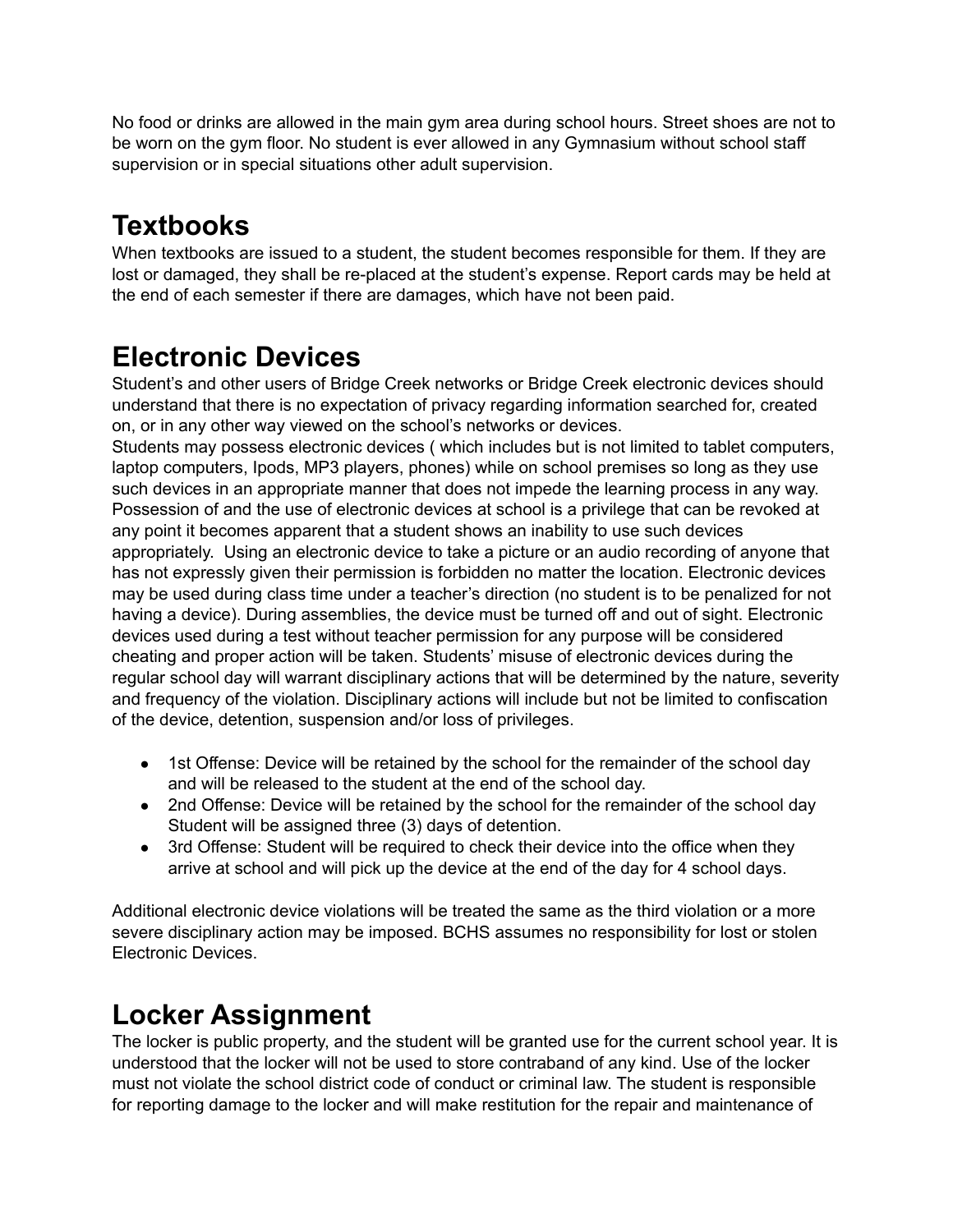No food or drinks are allowed in the main gym area during school hours. Street shoes are not to be worn on the gym floor. No student is ever allowed in any Gymnasium without school staff supervision or in special situations other adult supervision.

# **Textbooks**

When textbooks are issued to a student, the student becomes responsible for them. If they are lost or damaged, they shall be re-placed at the student's expense. Report cards may be held at the end of each semester if there are damages, which have not been paid.

# **Electronic Devices**

Student's and other users of Bridge Creek networks or Bridge Creek electronic devices should understand that there is no expectation of privacy regarding information searched for, created on, or in any other way viewed on the school's networks or devices.

Students may possess electronic devices ( which includes but is not limited to tablet computers, laptop computers, Ipods, MP3 players, phones) while on school premises so long as they use such devices in an appropriate manner that does not impede the learning process in any way. Possession of and the use of electronic devices at school is a privilege that can be revoked at any point it becomes apparent that a student shows an inability to use such devices appropriately. Using an electronic device to take a picture or an audio recording of anyone that has not expressly given their permission is forbidden no matter the location. Electronic devices may be used during class time under a teacher's direction (no student is to be penalized for not having a device). During assemblies, the device must be turned off and out of sight. Electronic devices used during a test without teacher permission for any purpose will be considered cheating and proper action will be taken. Students' misuse of electronic devices during the regular school day will warrant disciplinary actions that will be determined by the nature, severity and frequency of the violation. Disciplinary actions will include but not be limited to confiscation of the device, detention, suspension and/or loss of privileges.

- 1st Offense: Device will be retained by the school for the remainder of the school day and will be released to the student at the end of the school day.
- 2nd Offense: Device will be retained by the school for the remainder of the school day Student will be assigned three (3) days of detention.
- 3rd Offense: Student will be required to check their device into the office when they arrive at school and will pick up the device at the end of the day for 4 school days.

Additional electronic device violations will be treated the same as the third violation or a more severe disciplinary action may be imposed. BCHS assumes no responsibility for lost or stolen Electronic Devices.

# **Locker Assignment**

The locker is public property, and the student will be granted use for the current school year. It is understood that the locker will not be used to store contraband of any kind. Use of the locker must not violate the school district code of conduct or criminal law. The student is responsible for reporting damage to the locker and will make restitution for the repair and maintenance of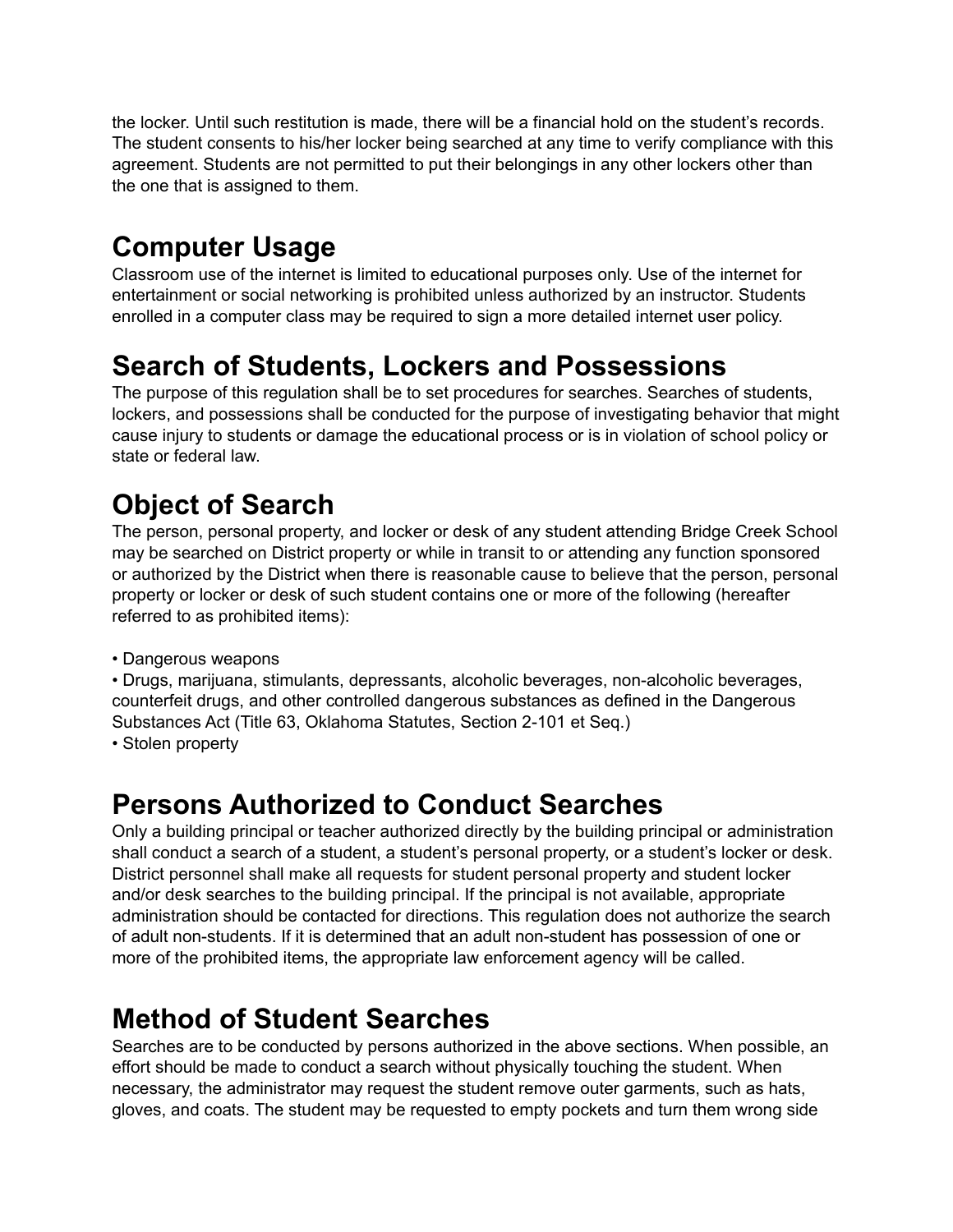the locker. Until such restitution is made, there will be a financial hold on the student's records. The student consents to his/her locker being searched at any time to verify compliance with this agreement. Students are not permitted to put their belongings in any other lockers other than the one that is assigned to them.

# **Computer Usage**

Classroom use of the internet is limited to educational purposes only. Use of the internet for entertainment or social networking is prohibited unless authorized by an instructor. Students enrolled in a computer class may be required to sign a more detailed internet user policy.

# **Search of Students, Lockers and Possessions**

The purpose of this regulation shall be to set procedures for searches. Searches of students, lockers, and possessions shall be conducted for the purpose of investigating behavior that might cause injury to students or damage the educational process or is in violation of school policy or state or federal law.

# **Object of Search**

The person, personal property, and locker or desk of any student attending Bridge Creek School may be searched on District property or while in transit to or attending any function sponsored or authorized by the District when there is reasonable cause to believe that the person, personal property or locker or desk of such student contains one or more of the following (hereafter referred to as prohibited items):

• Dangerous weapons

• Drugs, marijuana, stimulants, depressants, alcoholic beverages, non-alcoholic beverages, counterfeit drugs, and other controlled dangerous substances as defined in the Dangerous Substances Act (Title 63, Oklahoma Statutes, Section 2-101 et Seq.)

• Stolen property

# **Persons Authorized to Conduct Searches**

Only a building principal or teacher authorized directly by the building principal or administration shall conduct a search of a student, a student's personal property, or a student's locker or desk. District personnel shall make all requests for student personal property and student locker and/or desk searches to the building principal. If the principal is not available, appropriate administration should be contacted for directions. This regulation does not authorize the search of adult non-students. If it is determined that an adult non-student has possession of one or more of the prohibited items, the appropriate law enforcement agency will be called.

# **Method of Student Searches**

Searches are to be conducted by persons authorized in the above sections. When possible, an effort should be made to conduct a search without physically touching the student. When necessary, the administrator may request the student remove outer garments, such as hats, gloves, and coats. The student may be requested to empty pockets and turn them wrong side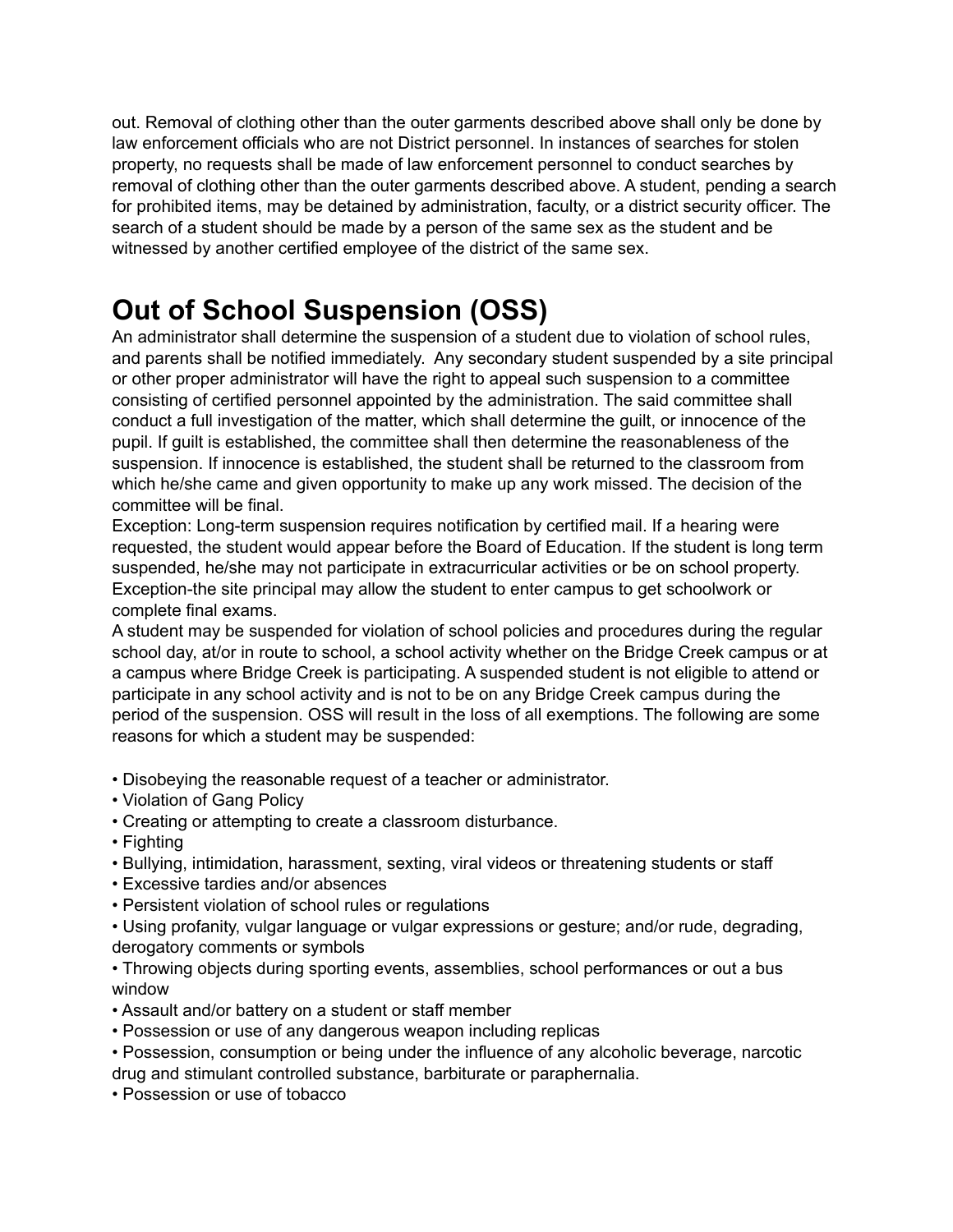out. Removal of clothing other than the outer garments described above shall only be done by law enforcement officials who are not District personnel. In instances of searches for stolen property, no requests shall be made of law enforcement personnel to conduct searches by removal of clothing other than the outer garments described above. A student, pending a search for prohibited items, may be detained by administration, faculty, or a district security officer. The search of a student should be made by a person of the same sex as the student and be witnessed by another certified employee of the district of the same sex.

# **Out of School Suspension (OSS)**

An administrator shall determine the suspension of a student due to violation of school rules, and parents shall be notified immediately. Any secondary student suspended by a site principal or other proper administrator will have the right to appeal such suspension to a committee consisting of certified personnel appointed by the administration. The said committee shall conduct a full investigation of the matter, which shall determine the guilt, or innocence of the pupil. If guilt is established, the committee shall then determine the reasonableness of the suspension. If innocence is established, the student shall be returned to the classroom from which he/she came and given opportunity to make up any work missed. The decision of the committee will be final.

Exception: Long-term suspension requires notification by certified mail. If a hearing were requested, the student would appear before the Board of Education. If the student is long term suspended, he/she may not participate in extracurricular activities or be on school property. Exception-the site principal may allow the student to enter campus to get schoolwork or complete final exams.

A student may be suspended for violation of school policies and procedures during the regular school day, at/or in route to school, a school activity whether on the Bridge Creek campus or at a campus where Bridge Creek is participating. A suspended student is not eligible to attend or participate in any school activity and is not to be on any Bridge Creek campus during the period of the suspension. OSS will result in the loss of all exemptions. The following are some reasons for which a student may be suspended:

- Disobeying the reasonable request of a teacher or administrator.
- Violation of Gang Policy
- Creating or attempting to create a classroom disturbance.
- Fighting
- Bullying, intimidation, harassment, sexting, viral videos or threatening students or staff
- Excessive tardies and/or absences
- Persistent violation of school rules or regulations
- Using profanity, vulgar language or vulgar expressions or gesture; and/or rude, degrading, derogatory comments or symbols
- Throwing objects during sporting events, assemblies, school performances or out a bus window
- Assault and/or battery on a student or staff member
- Possession or use of any dangerous weapon including replicas
- Possession, consumption or being under the influence of any alcoholic beverage, narcotic drug and stimulant controlled substance, barbiturate or paraphernalia.
- Possession or use of tobacco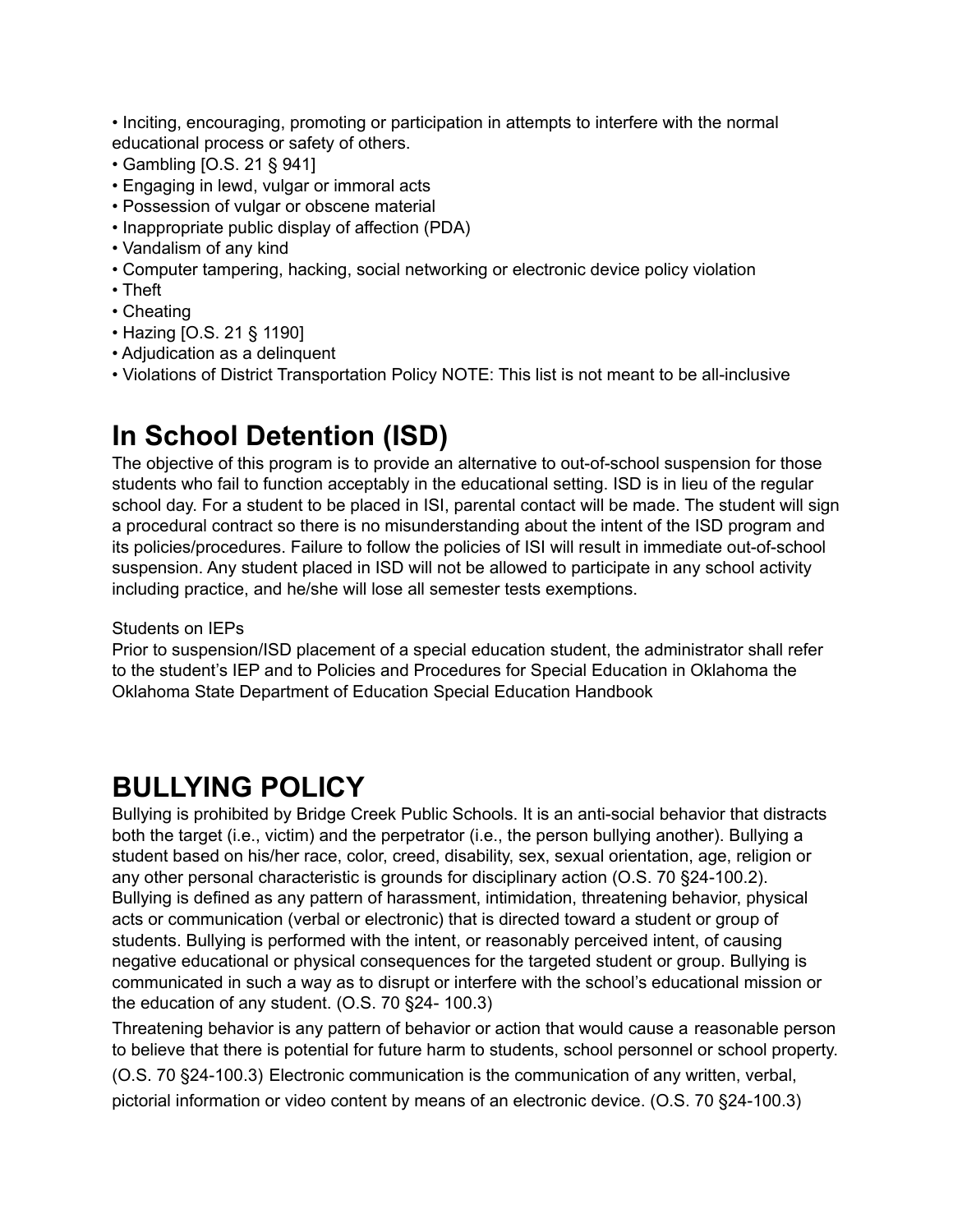• Inciting, encouraging, promoting or participation in attempts to interfere with the normal educational process or safety of others.

- Gambling [O.S. 21 § 941]
- Engaging in lewd, vulgar or immoral acts
- Possession of vulgar or obscene material
- Inappropriate public display of affection (PDA)
- Vandalism of any kind
- Computer tampering, hacking, social networking or electronic device policy violation
- Theft
- Cheating
- Hazing [O.S. 21 § 1190]
- Adjudication as a delinquent
- Violations of District Transportation Policy NOTE: This list is not meant to be all-inclusive

### **In School Detention (ISD)**

The objective of this program is to provide an alternative to out-of-school suspension for those students who fail to function acceptably in the educational setting. ISD is in lieu of the regular school day. For a student to be placed in ISI, parental contact will be made. The student will sign a procedural contract so there is no misunderstanding about the intent of the ISD program and its policies/procedures. Failure to follow the policies of ISI will result in immediate out-of-school suspension. Any student placed in ISD will not be allowed to participate in any school activity including practice, and he/she will lose all semester tests exemptions.

#### Students on IEPs

Prior to suspension/ISD placement of a special education student, the administrator shall refer to the student's IEP and to Policies and Procedures for Special Education in Oklahoma the Oklahoma State Department of Education Special Education Handbook

### **BULLYING POLICY**

Bullying is prohibited by Bridge Creek Public Schools. It is an anti-social behavior that distracts both the target (i.e., victim) and the perpetrator (i.e., the person bullying another). Bullying a student based on his/her race, color, creed, disability, sex, sexual orientation, age, religion or any other personal characteristic is grounds for disciplinary action (O.S. 70 §24-100.2). Bullying is defined as any pattern of harassment, intimidation, threatening behavior, physical acts or communication (verbal or electronic) that is directed toward a student or group of students. Bullying is performed with the intent, or reasonably perceived intent, of causing negative educational or physical consequences for the targeted student or group. Bullying is communicated in such a way as to disrupt or interfere with the school's educational mission or the education of any student. (O.S. 70 §24- 100.3)

Threatening behavior is any pattern of behavior or action that would cause a reasonable person to believe that there is potential for future harm to students, school personnel or school property. (O.S. 70 §24-100.3) Electronic communication is the communication of any written, verbal, pictorial information or video content by means of an electronic device. (O.S. 70 §24-100.3)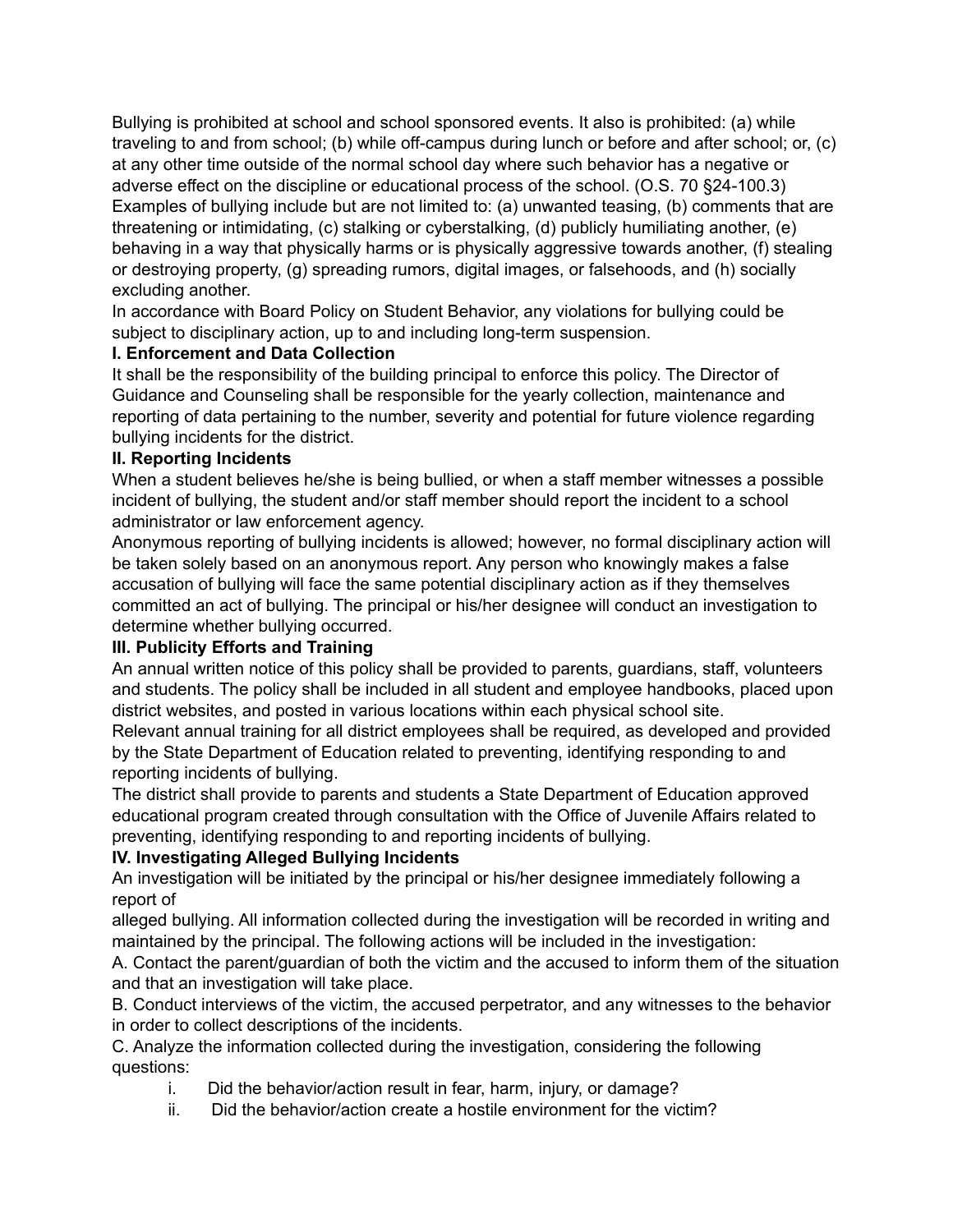Bullying is prohibited at school and school sponsored events. It also is prohibited: (a) while traveling to and from school; (b) while off-campus during lunch or before and after school; or, (c) at any other time outside of the normal school day where such behavior has a negative or adverse effect on the discipline or educational process of the school. (O.S. 70 §24-100.3) Examples of bullying include but are not limited to: (a) unwanted teasing, (b) comments that are threatening or intimidating, (c) stalking or cyberstalking, (d) publicly humiliating another, (e) behaving in a way that physically harms or is physically aggressive towards another, (f) stealing or destroying property, (g) spreading rumors, digital images, or falsehoods, and (h) socially excluding another.

In accordance with Board Policy on Student Behavior, any violations for bullying could be subject to disciplinary action, up to and including long-term suspension.

#### **I. Enforcement and Data Collection**

It shall be the responsibility of the building principal to enforce this policy. The Director of Guidance and Counseling shall be responsible for the yearly collection, maintenance and reporting of data pertaining to the number, severity and potential for future violence regarding bullying incidents for the district.

#### **II. Reporting Incidents**

When a student believes he/she is being bullied, or when a staff member witnesses a possible incident of bullying, the student and/or staff member should report the incident to a school administrator or law enforcement agency.

Anonymous reporting of bullying incidents is allowed; however, no formal disciplinary action will be taken solely based on an anonymous report. Any person who knowingly makes a false accusation of bullying will face the same potential disciplinary action as if they themselves committed an act of bullying. The principal or his/her designee will conduct an investigation to determine whether bullying occurred.

### **III. Publicity Efforts and Training**

An annual written notice of this policy shall be provided to parents, guardians, staff, volunteers and students. The policy shall be included in all student and employee handbooks, placed upon district websites, and posted in various locations within each physical school site.

Relevant annual training for all district employees shall be required, as developed and provided by the State Department of Education related to preventing, identifying responding to and reporting incidents of bullying.

The district shall provide to parents and students a State Department of Education approved educational program created through consultation with the Office of Juvenile Affairs related to preventing, identifying responding to and reporting incidents of bullying.

### **IV. Investigating Alleged Bullying Incidents**

An investigation will be initiated by the principal or his/her designee immediately following a report of

alleged bullying. All information collected during the investigation will be recorded in writing and maintained by the principal. The following actions will be included in the investigation:

A. Contact the parent/guardian of both the victim and the accused to inform them of the situation and that an investigation will take place.

B. Conduct interviews of the victim, the accused perpetrator, and any witnesses to the behavior in order to collect descriptions of the incidents.

C. Analyze the information collected during the investigation, considering the following questions:

- i. Did the behavior/action result in fear, harm, injury, or damage?
- ii. Did the behavior/action create a hostile environment for the victim?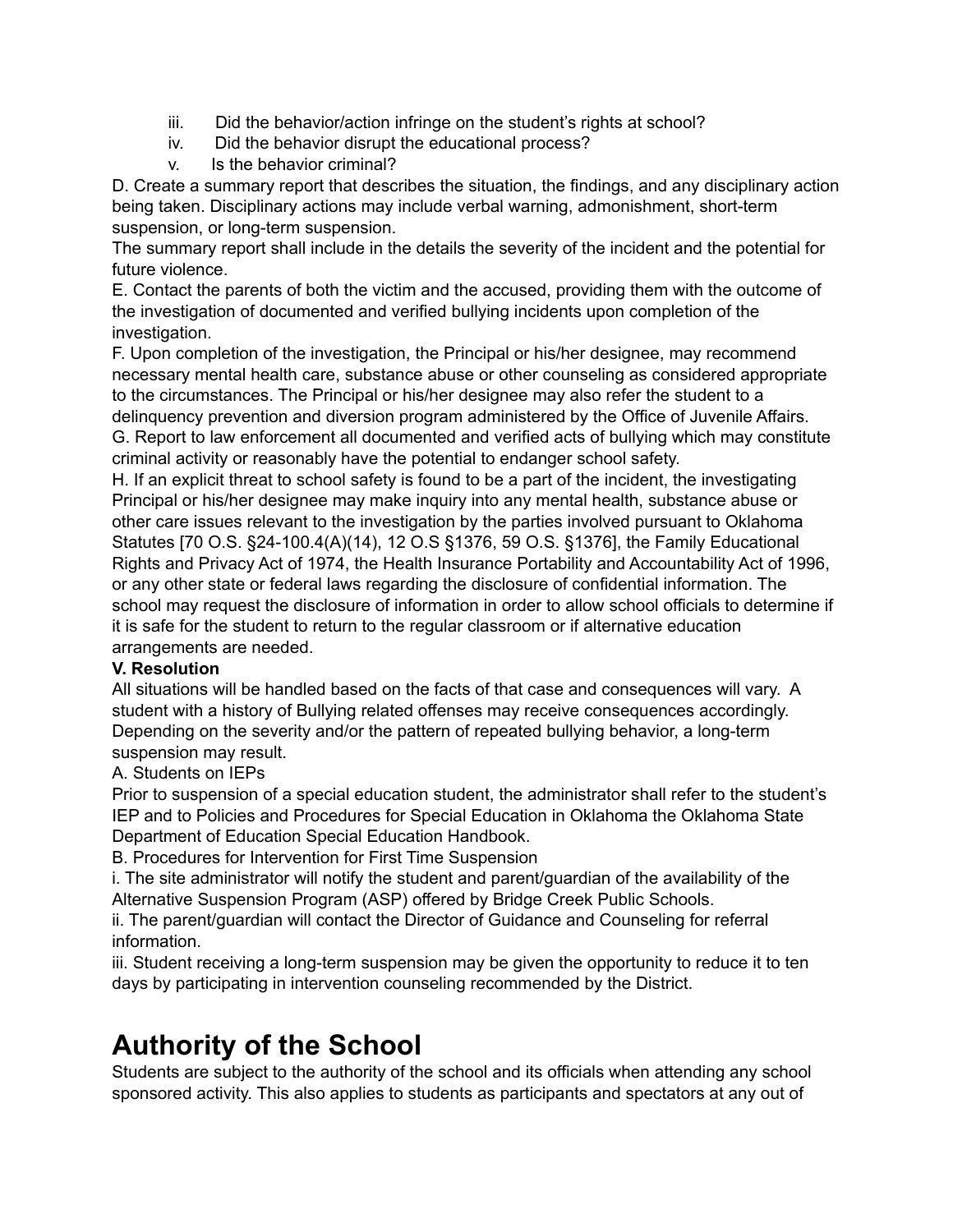- iii. Did the behavior/action infringe on the student's rights at school?
- iv. Did the behavior disrupt the educational process?
- v. Is the behavior criminal?

D. Create a summary report that describes the situation, the findings, and any disciplinary action being taken. Disciplinary actions may include verbal warning, admonishment, short-term suspension, or long-term suspension.

The summary report shall include in the details the severity of the incident and the potential for future violence.

E. Contact the parents of both the victim and the accused, providing them with the outcome of the investigation of documented and verified bullying incidents upon completion of the investigation.

F. Upon completion of the investigation, the Principal or his/her designee, may recommend necessary mental health care, substance abuse or other counseling as considered appropriate to the circumstances. The Principal or his/her designee may also refer the student to a delinquency prevention and diversion program administered by the Office of Juvenile Affairs. G. Report to law enforcement all documented and verified acts of bullying which may constitute criminal activity or reasonably have the potential to endanger school safety.

H. If an explicit threat to school safety is found to be a part of the incident, the investigating Principal or his/her designee may make inquiry into any mental health, substance abuse or other care issues relevant to the investigation by the parties involved pursuant to Oklahoma Statutes [70 O.S. §24-100.4(A)(14), 12 O.S §1376, 59 O.S. §1376], the Family Educational Rights and Privacy Act of 1974, the Health Insurance Portability and Accountability Act of 1996, or any other state or federal laws regarding the disclosure of confidential information. The school may request the disclosure of information in order to allow school officials to determine if it is safe for the student to return to the regular classroom or if alternative education arrangements are needed.

### **V. Resolution**

All situations will be handled based on the facts of that case and consequences will vary. A student with a history of Bullying related offenses may receive consequences accordingly. Depending on the severity and/or the pattern of repeated bullying behavior, a long-term suspension may result.

### A. Students on IEPs

Prior to suspension of a special education student, the administrator shall refer to the student's IEP and to Policies and Procedures for Special Education in Oklahoma the Oklahoma State Department of Education Special Education Handbook.

B. Procedures for Intervention for First Time Suspension

i. The site administrator will notify the student and parent/guardian of the availability of the Alternative Suspension Program (ASP) offered by Bridge Creek Public Schools.

ii. The parent/guardian will contact the Director of Guidance and Counseling for referral information.

iii. Student receiving a long-term suspension may be given the opportunity to reduce it to ten days by participating in intervention counseling recommended by the District.

# **Authority of the School**

Students are subject to the authority of the school and its officials when attending any school sponsored activity. This also applies to students as participants and spectators at any out of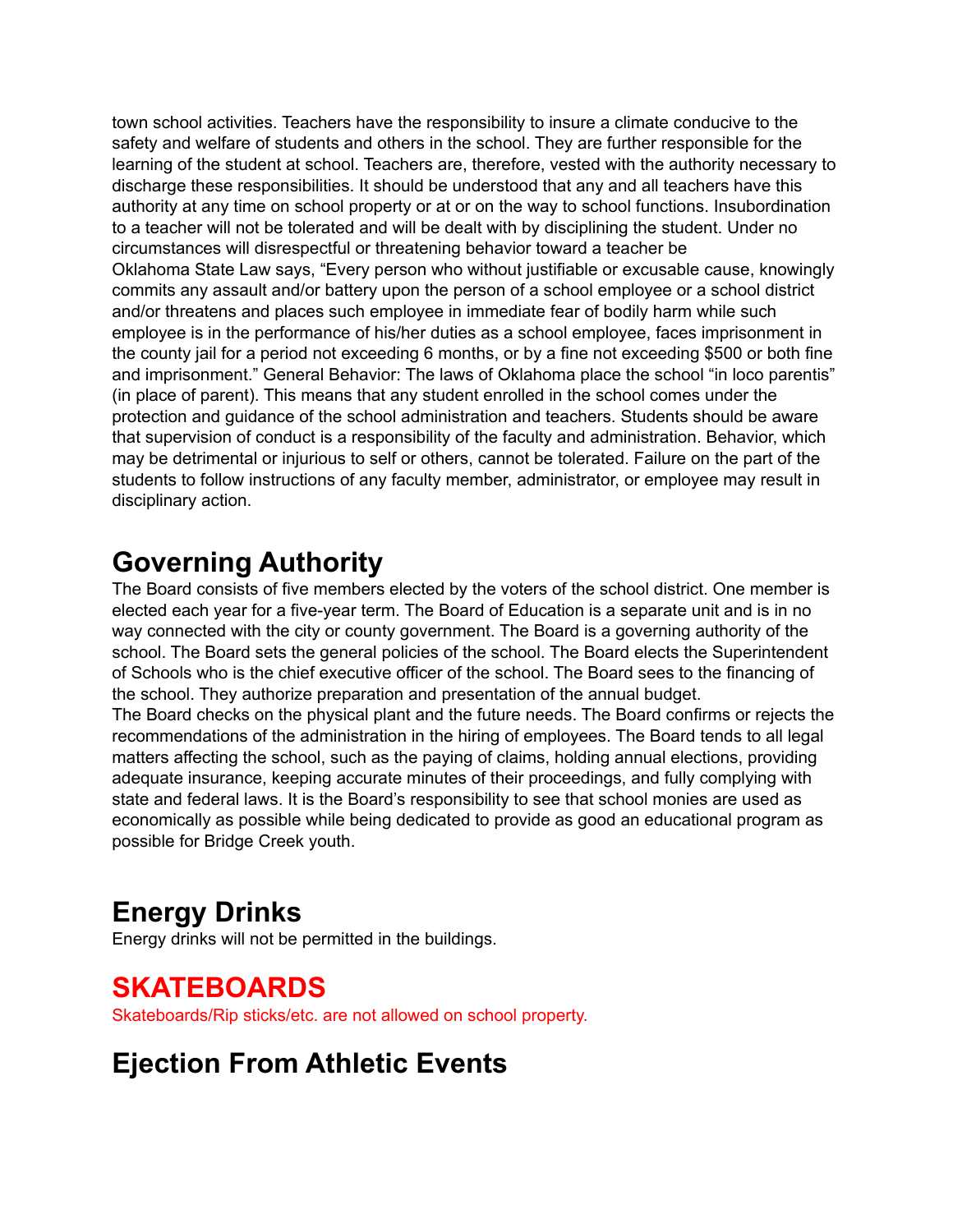town school activities. Teachers have the responsibility to insure a climate conducive to the safety and welfare of students and others in the school. They are further responsible for the learning of the student at school. Teachers are, therefore, vested with the authority necessary to discharge these responsibilities. It should be understood that any and all teachers have this authority at any time on school property or at or on the way to school functions. Insubordination to a teacher will not be tolerated and will be dealt with by disciplining the student. Under no circumstances will disrespectful or threatening behavior toward a teacher be Oklahoma State Law says, "Every person who without justifiable or excusable cause, knowingly commits any assault and/or battery upon the person of a school employee or a school district and/or threatens and places such employee in immediate fear of bodily harm while such employee is in the performance of his/her duties as a school employee, faces imprisonment in the county jail for a period not exceeding 6 months, or by a fine not exceeding \$500 or both fine and imprisonment." General Behavior: The laws of Oklahoma place the school "in loco parentis" (in place of parent). This means that any student enrolled in the school comes under the protection and guidance of the school administration and teachers. Students should be aware that supervision of conduct is a responsibility of the faculty and administration. Behavior, which may be detrimental or injurious to self or others, cannot be tolerated. Failure on the part of the students to follow instructions of any faculty member, administrator, or employee may result in disciplinary action.

### **Governing Authority**

The Board consists of five members elected by the voters of the school district. One member is elected each year for a five-year term. The Board of Education is a separate unit and is in no way connected with the city or county government. The Board is a governing authority of the school. The Board sets the general policies of the school. The Board elects the Superintendent of Schools who is the chief executive officer of the school. The Board sees to the financing of the school. They authorize preparation and presentation of the annual budget. The Board checks on the physical plant and the future needs. The Board confirms or rejects the recommendations of the administration in the hiring of employees. The Board tends to all legal matters affecting the school, such as the paying of claims, holding annual elections, providing adequate insurance, keeping accurate minutes of their proceedings, and fully complying with state and federal laws. It is the Board's responsibility to see that school monies are used as

economically as possible while being dedicated to provide as good an educational program as possible for Bridge Creek youth.

# **Energy Drinks**

Energy drinks will not be permitted in the buildings.

### **SKATEBOARDS**

Skateboards/Rip sticks/etc. are not allowed on school property.

### **Ejection From Athletic Events**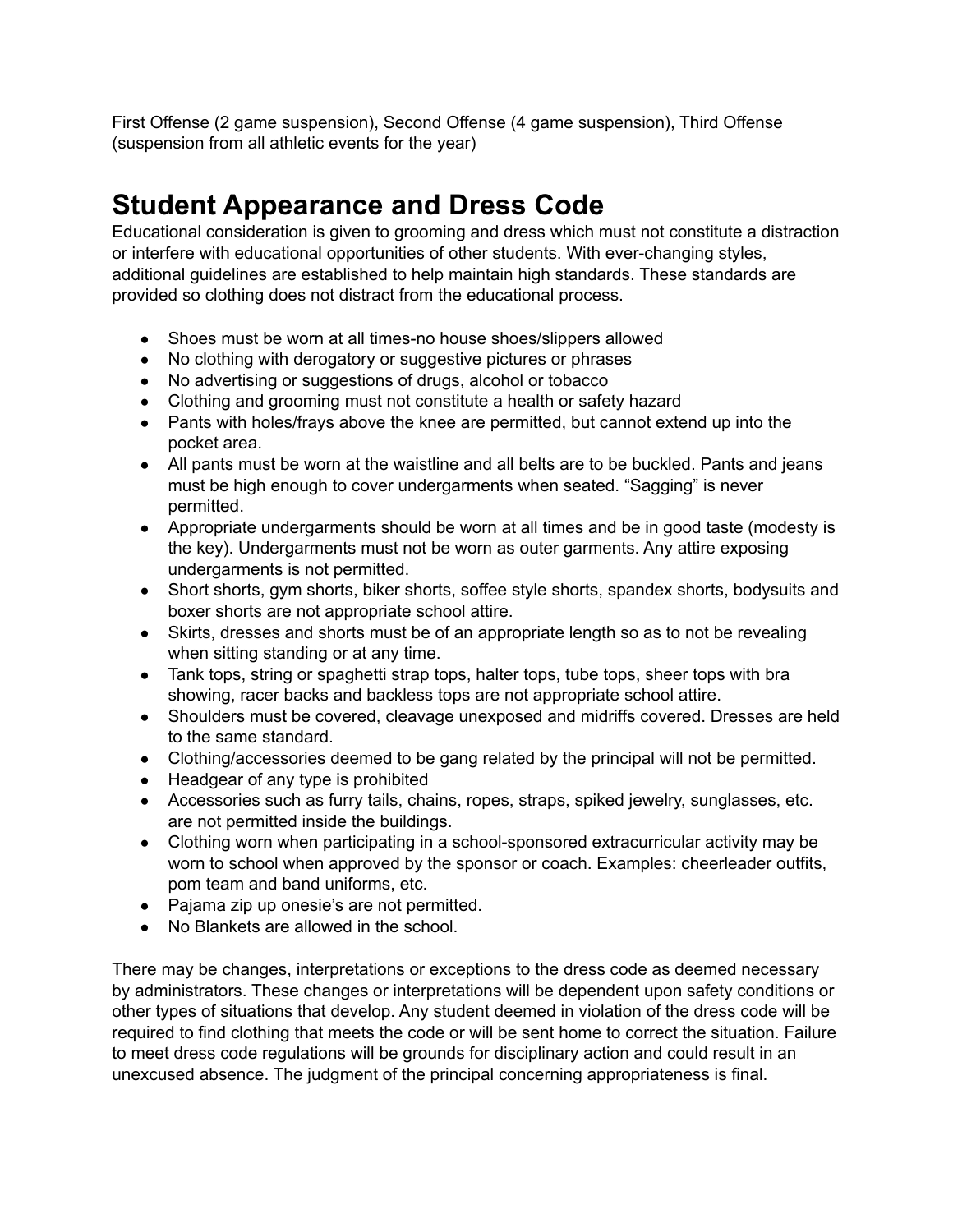First Offense (2 game suspension), Second Offense (4 game suspension), Third Offense (suspension from all athletic events for the year)

### **Student Appearance and Dress Code**

Educational consideration is given to grooming and dress which must not constitute a distraction or interfere with educational opportunities of other students. With ever-changing styles, additional guidelines are established to help maintain high standards. These standards are provided so clothing does not distract from the educational process.

- Shoes must be worn at all times-no house shoes/slippers allowed
- No clothing with derogatory or suggestive pictures or phrases
- No advertising or suggestions of drugs, alcohol or tobacco
- Clothing and grooming must not constitute a health or safety hazard
- Pants with holes/frays above the knee are permitted, but cannot extend up into the pocket area.
- All pants must be worn at the waistline and all belts are to be buckled. Pants and jeans must be high enough to cover undergarments when seated. "Sagging" is never permitted.
- Appropriate undergarments should be worn at all times and be in good taste (modesty is the key). Undergarments must not be worn as outer garments. Any attire exposing undergarments is not permitted.
- Short shorts, gym shorts, biker shorts, soffee style shorts, spandex shorts, bodysuits and boxer shorts are not appropriate school attire.
- Skirts, dresses and shorts must be of an appropriate length so as to not be revealing when sitting standing or at any time.
- Tank tops, string or spaghetti strap tops, halter tops, tube tops, sheer tops with bra showing, racer backs and backless tops are not appropriate school attire.
- Shoulders must be covered, cleavage unexposed and midriffs covered. Dresses are held to the same standard.
- Clothing/accessories deemed to be gang related by the principal will not be permitted.
- Headgear of any type is prohibited
- Accessories such as furry tails, chains, ropes, straps, spiked jewelry, sunglasses, etc. are not permitted inside the buildings.
- Clothing worn when participating in a school-sponsored extracurricular activity may be worn to school when approved by the sponsor or coach. Examples: cheerleader outfits, pom team and band uniforms, etc.
- Pajama zip up onesie's are not permitted.
- No Blankets are allowed in the school.

There may be changes, interpretations or exceptions to the dress code as deemed necessary by administrators. These changes or interpretations will be dependent upon safety conditions or other types of situations that develop. Any student deemed in violation of the dress code will be required to find clothing that meets the code or will be sent home to correct the situation. Failure to meet dress code regulations will be grounds for disciplinary action and could result in an unexcused absence. The judgment of the principal concerning appropriateness is final.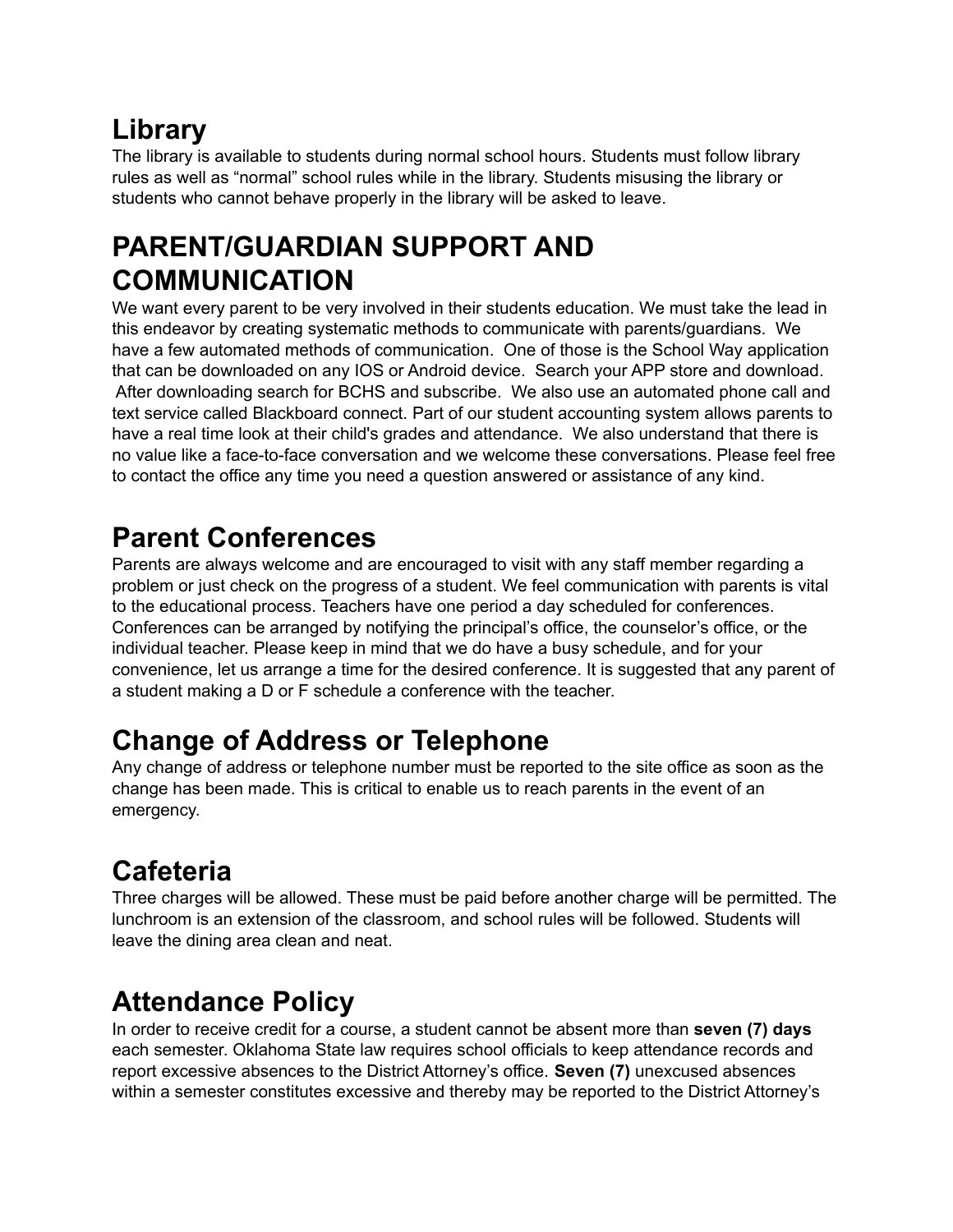# **Library**

The library is available to students during normal school hours. Students must follow library rules as well as "normal" school rules while in the library. Students misusing the library or students who cannot behave properly in the library will be asked to leave.

# **PARENT/GUARDIAN SUPPORT AND COMMUNICATION**

We want every parent to be very involved in their students education. We must take the lead in this endeavor by creating systematic methods to communicate with parents/guardians. We have a few automated methods of communication. One of those is the School Way application that can be downloaded on any IOS or Android device. Search your APP store and download. After downloading search for BCHS and subscribe. We also use an automated phone call and text service called Blackboard connect. Part of our student accounting system allows parents to have a real time look at their child's grades and attendance. We also understand that there is no value like a face-to-face conversation and we welcome these conversations. Please feel free to contact the office any time you need a question answered or assistance of any kind.

# **Parent Conferences**

Parents are always welcome and are encouraged to visit with any staff member regarding a problem or just check on the progress of a student. We feel communication with parents is vital to the educational process. Teachers have one period a day scheduled for conferences. Conferences can be arranged by notifying the principal's office, the counselor's office, or the individual teacher. Please keep in mind that we do have a busy schedule, and for your convenience, let us arrange a time for the desired conference. It is suggested that any parent of a student making a D or F schedule a conference with the teacher.

# **Change of Address or Telephone**

Any change of address or telephone number must be reported to the site office as soon as the change has been made. This is critical to enable us to reach parents in the event of an emergency.

# **Cafeteria**

Three charges will be allowed. These must be paid before another charge will be permitted. The lunchroom is an extension of the classroom, and school rules will be followed. Students will leave the dining area clean and neat.

# **Attendance Policy**

In order to receive credit for a course, a student cannot be absent more than **seven (7) days** each semester. Oklahoma State law requires school officials to keep attendance records and report excessive absences to the District Attorney's office. **Seven (7)** unexcused absences within a semester constitutes excessive and thereby may be reported to the District Attorney's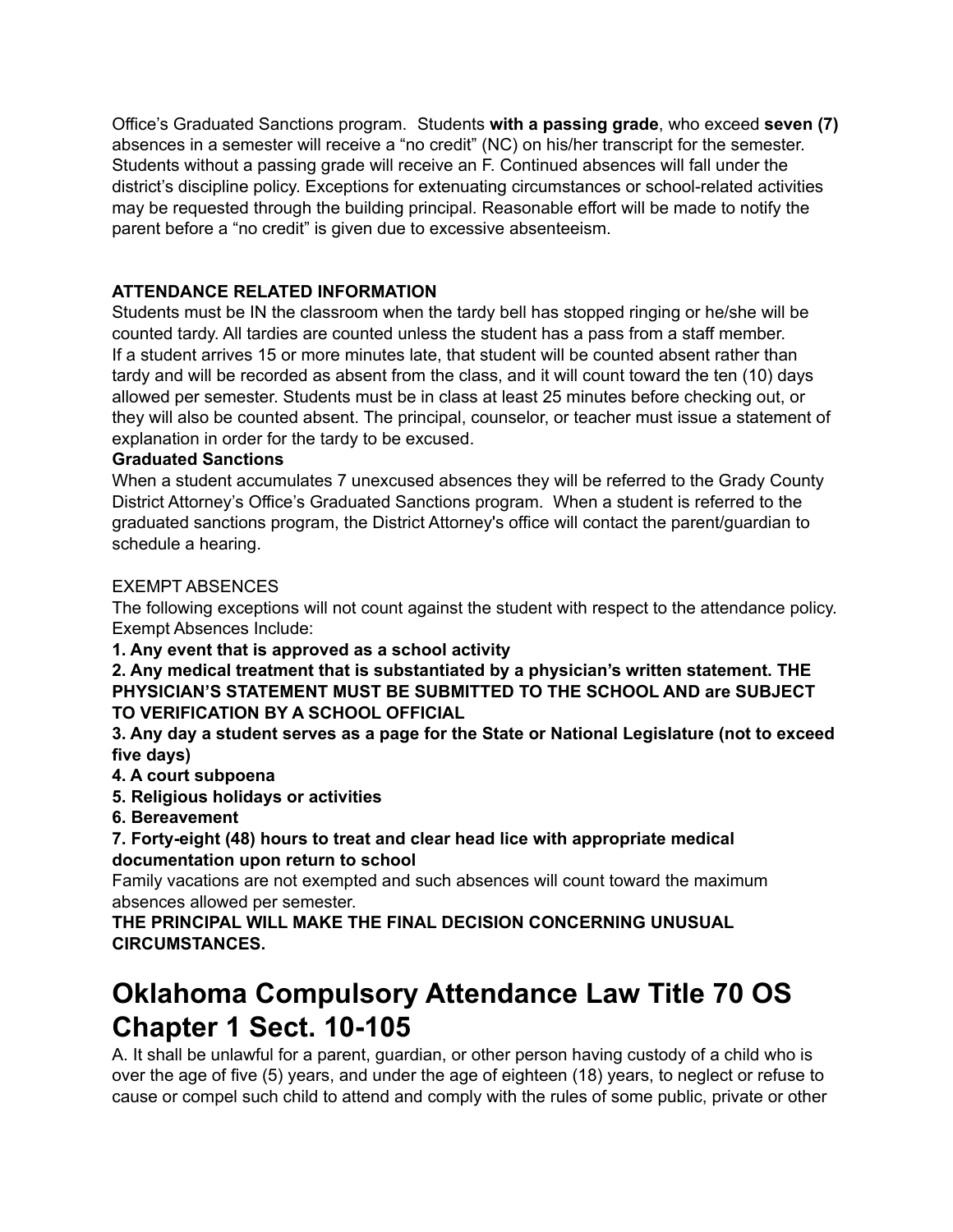Office's Graduated Sanctions program. Students **with a passing grade**, who exceed **seven (7)** absences in a semester will receive a "no credit" (NC) on his/her transcript for the semester. Students without a passing grade will receive an F. Continued absences will fall under the district's discipline policy. Exceptions for extenuating circumstances or school-related activities may be requested through the building principal. Reasonable effort will be made to notify the parent before a "no credit" is given due to excessive absenteeism.

### **ATTENDANCE RELATED INFORMATION**

Students must be IN the classroom when the tardy bell has stopped ringing or he/she will be counted tardy. All tardies are counted unless the student has a pass from a staff member. If a student arrives 15 or more minutes late, that student will be counted absent rather than tardy and will be recorded as absent from the class, and it will count toward the ten (10) days allowed per semester. Students must be in class at least 25 minutes before checking out, or they will also be counted absent. The principal, counselor, or teacher must issue a statement of explanation in order for the tardy to be excused.

#### **Graduated Sanctions**

When a student accumulates 7 unexcused absences they will be referred to the Grady County District Attorney's Office's Graduated Sanctions program. When a student is referred to the graduated sanctions program, the District Attorney's office will contact the parent/guardian to schedule a hearing.

#### EXEMPT ABSENCES

The following exceptions will not count against the student with respect to the attendance policy. Exempt Absences Include:

**1. Any event that is approved as a school activity**

**2. Any medical treatment that is substantiated by a physician's written statement. THE PHYSICIAN'S STATEMENT MUST BE SUBMITTED TO THE SCHOOL AND are SUBJECT TO VERIFICATION BY A SCHOOL OFFICIAL**

**3. Any day a student serves as a page for the State or National Legislature (not to exceed five days)**

- **4. A court subpoena**
- **5. Religious holidays or activities**

**6. Bereavement**

**7. Forty-eight (48) hours to treat and clear head lice with appropriate medical documentation upon return to school**

Family vacations are not exempted and such absences will count toward the maximum absences allowed per semester.

**THE PRINCIPAL WILL MAKE THE FINAL DECISION CONCERNING UNUSUAL CIRCUMSTANCES.**

### **Oklahoma Compulsory Attendance Law Title 70 OS Chapter 1 Sect. 10-105**

A. It shall be unlawful for a parent, guardian, or other person having custody of a child who is over the age of five (5) years, and under the age of eighteen (18) years, to neglect or refuse to cause or compel such child to attend and comply with the rules of some public, private or other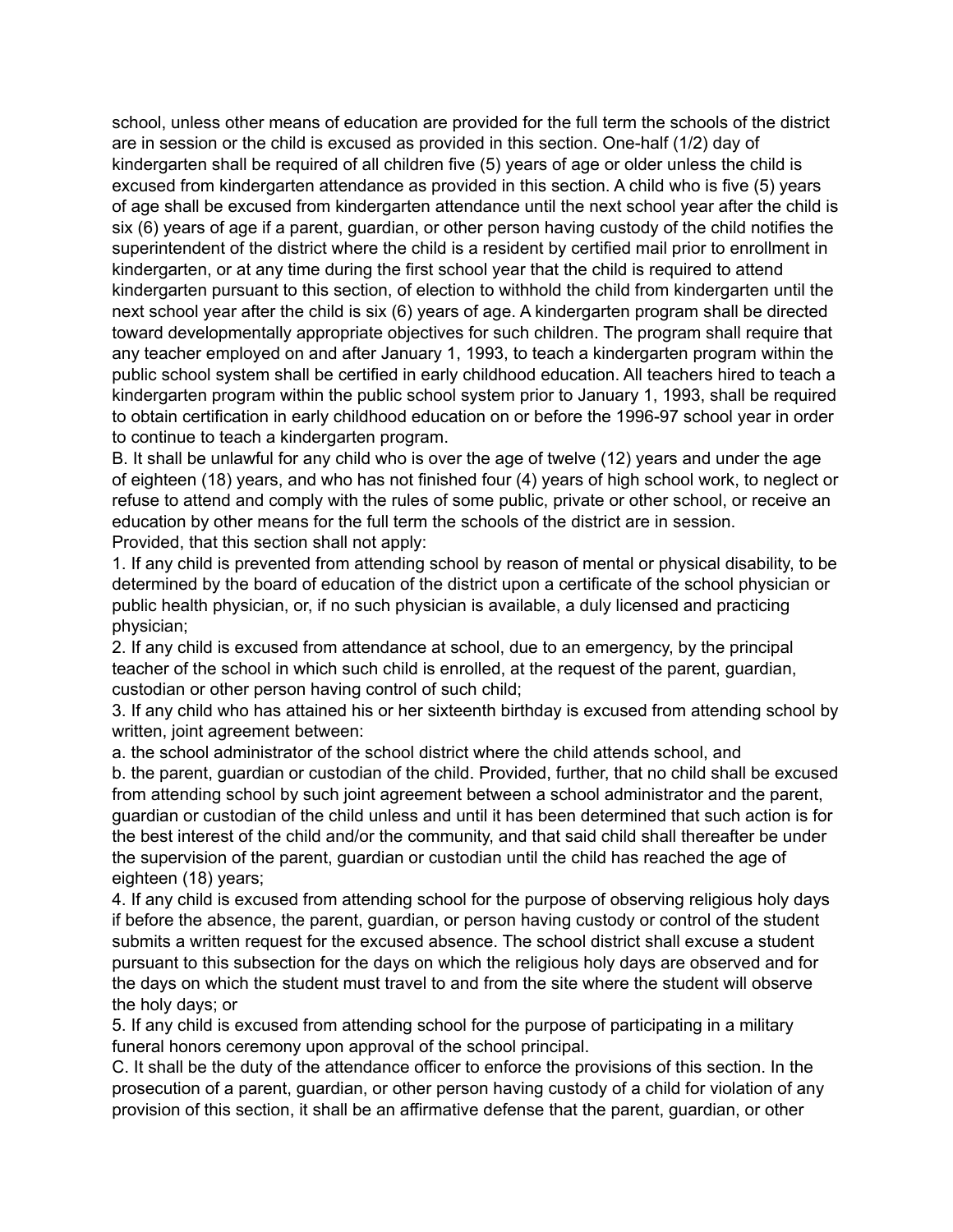school, unless other means of education are provided for the full term the schools of the district are in session or the child is excused as provided in this section. One-half (1/2) day of kindergarten shall be required of all children five (5) years of age or older unless the child is excused from kindergarten attendance as provided in this section. A child who is five (5) years of age shall be excused from kindergarten attendance until the next school year after the child is six (6) years of age if a parent, guardian, or other person having custody of the child notifies the superintendent of the district where the child is a resident by certified mail prior to enrollment in kindergarten, or at any time during the first school year that the child is required to attend kindergarten pursuant to this section, of election to withhold the child from kindergarten until the next school year after the child is six (6) years of age. A kindergarten program shall be directed toward developmentally appropriate objectives for such children. The program shall require that any teacher employed on and after January 1, 1993, to teach a kindergarten program within the public school system shall be certified in early childhood education. All teachers hired to teach a kindergarten program within the public school system prior to January 1, 1993, shall be required to obtain certification in early childhood education on or before the 1996-97 school year in order to continue to teach a kindergarten program.

B. It shall be unlawful for any child who is over the age of twelve (12) years and under the age of eighteen (18) years, and who has not finished four (4) years of high school work, to neglect or refuse to attend and comply with the rules of some public, private or other school, or receive an education by other means for the full term the schools of the district are in session. Provided, that this section shall not apply:

1. If any child is prevented from attending school by reason of mental or physical disability, to be determined by the board of education of the district upon a certificate of the school physician or public health physician, or, if no such physician is available, a duly licensed and practicing physician;

2. If any child is excused from attendance at school, due to an emergency, by the principal teacher of the school in which such child is enrolled, at the request of the parent, guardian, custodian or other person having control of such child;

3. If any child who has attained his or her sixteenth birthday is excused from attending school by written, joint agreement between:

a. the school administrator of the school district where the child attends school, and b. the parent, guardian or custodian of the child. Provided, further, that no child shall be excused from attending school by such joint agreement between a school administrator and the parent, guardian or custodian of the child unless and until it has been determined that such action is for the best interest of the child and/or the community, and that said child shall thereafter be under the supervision of the parent, guardian or custodian until the child has reached the age of eighteen (18) years;

4. If any child is excused from attending school for the purpose of observing religious holy days if before the absence, the parent, guardian, or person having custody or control of the student submits a written request for the excused absence. The school district shall excuse a student pursuant to this subsection for the days on which the religious holy days are observed and for the days on which the student must travel to and from the site where the student will observe the holy days; or

5. If any child is excused from attending school for the purpose of participating in a military funeral honors ceremony upon approval of the school principal.

C. It shall be the duty of the attendance officer to enforce the provisions of this section. In the prosecution of a parent, guardian, or other person having custody of a child for violation of any provision of this section, it shall be an affirmative defense that the parent, guardian, or other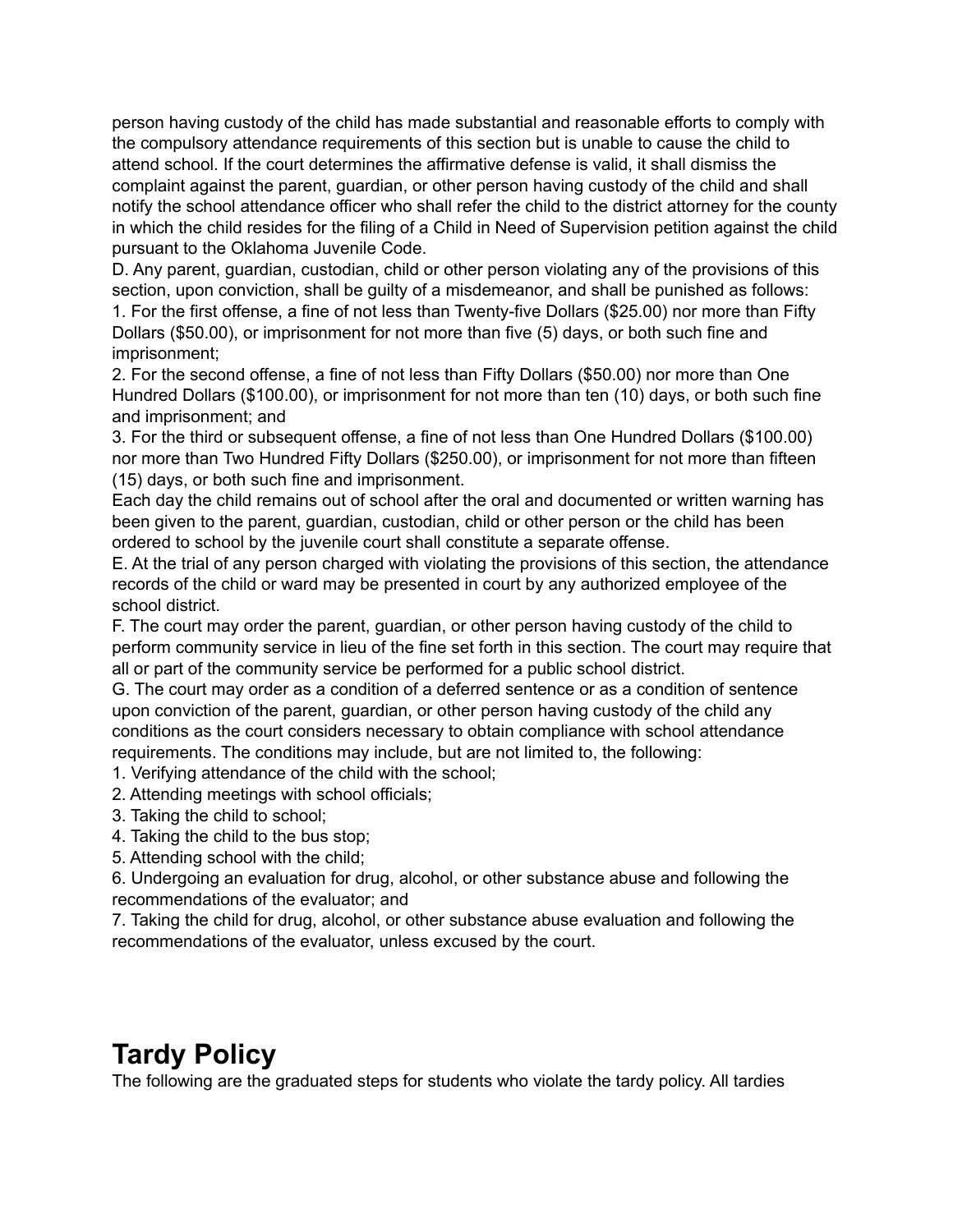person having custody of the child has made substantial and reasonable efforts to comply with the compulsory attendance requirements of this section but is unable to cause the child to attend school. If the court determines the affirmative defense is valid, it shall dismiss the complaint against the parent, guardian, or other person having custody of the child and shall notify the school attendance officer who shall refer the child to the district attorney for the county in which the child resides for the filing of a Child in Need of Supervision petition against the child pursuant to the Oklahoma Juvenile Code.

D. Any parent, guardian, custodian, child or other person violating any of the provisions of this section, upon conviction, shall be guilty of a misdemeanor, and shall be punished as follows:

1. For the first offense, a fine of not less than Twenty-five Dollars (\$25.00) nor more than Fifty Dollars (\$50.00), or imprisonment for not more than five (5) days, or both such fine and imprisonment;

2. For the second offense, a fine of not less than Fifty Dollars (\$50.00) nor more than One Hundred Dollars (\$100.00), or imprisonment for not more than ten (10) days, or both such fine and imprisonment; and

3. For the third or subsequent offense, a fine of not less than One Hundred Dollars (\$100.00) nor more than Two Hundred Fifty Dollars (\$250.00), or imprisonment for not more than fifteen (15) days, or both such fine and imprisonment.

Each day the child remains out of school after the oral and documented or written warning has been given to the parent, guardian, custodian, child or other person or the child has been ordered to school by the juvenile court shall constitute a separate offense.

E. At the trial of any person charged with violating the provisions of this section, the attendance records of the child or ward may be presented in court by any authorized employee of the school district.

F. The court may order the parent, guardian, or other person having custody of the child to perform community service in lieu of the fine set forth in this section. The court may require that all or part of the community service be performed for a public school district.

G. The court may order as a condition of a deferred sentence or as a condition of sentence upon conviction of the parent, guardian, or other person having custody of the child any conditions as the court considers necessary to obtain compliance with school attendance requirements. The conditions may include, but are not limited to, the following:

1. Verifying attendance of the child with the school;

- 2. Attending meetings with school officials;
- 3. Taking the child to school;

4. Taking the child to the bus stop;

5. Attending school with the child;

6. Undergoing an evaluation for drug, alcohol, or other substance abuse and following the recommendations of the evaluator; and

7. Taking the child for drug, alcohol, or other substance abuse evaluation and following the recommendations of the evaluator, unless excused by the court.

# **Tardy Policy**

The following are the graduated steps for students who violate the tardy policy. All tardies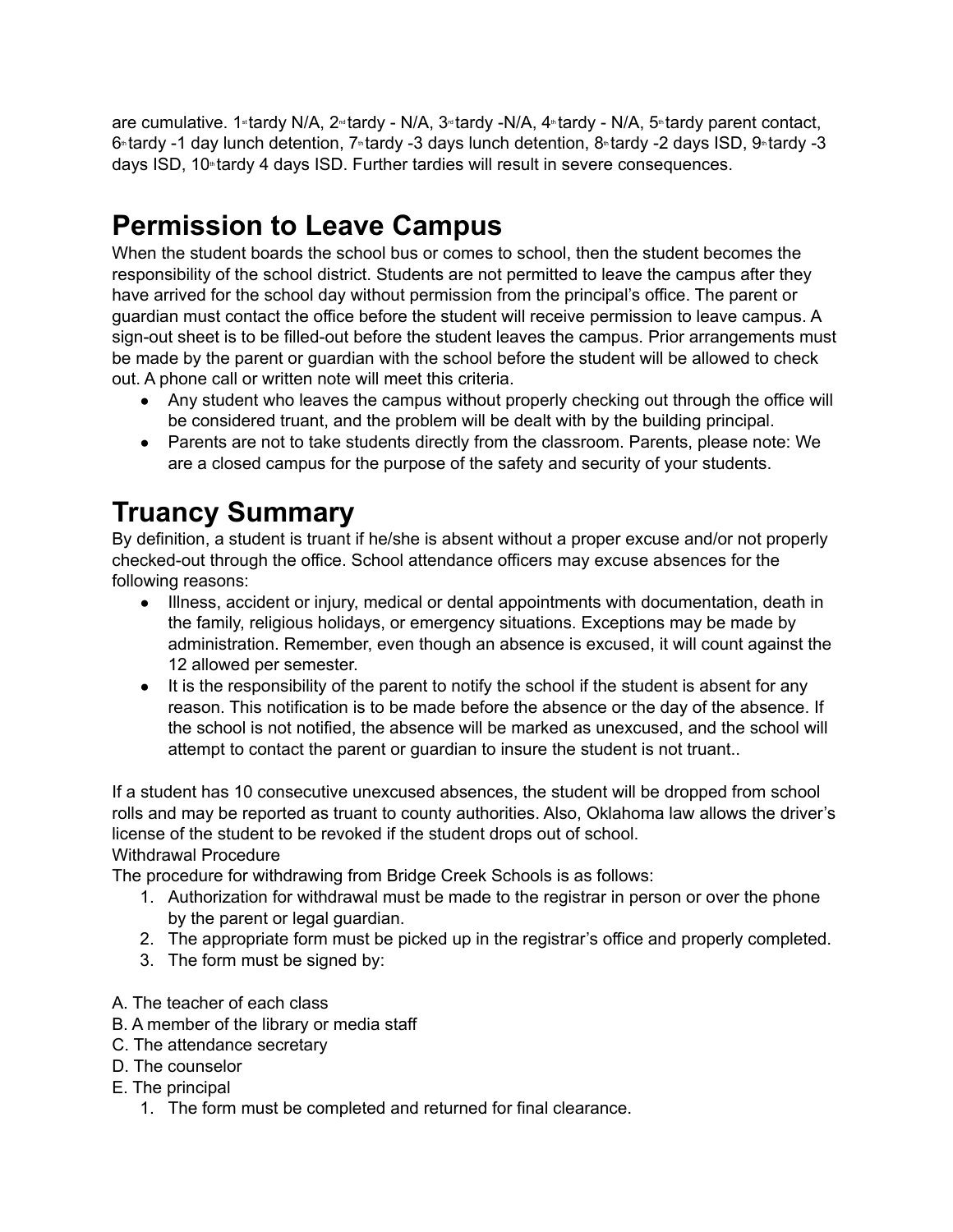are cumulative. 1 tardy N/A, 2<sup>nd</sup> tardy - N/A, 3<sup>nd</sup> tardy -N/A, 4<sup>nd</sup> tardy - N/A, 5<sup>nd</sup> tardy parent contact,  $6$ <sup>tardy</sup> -1 day lunch detention, 7<sup>th</sup> tardy -3 days lunch detention, 8<sup>th</sup> tardy -2 days ISD, 9<sup>th</sup> tardy -3 days ISD, 10<sup>th</sup> tardy 4 days ISD. Further tardies will result in severe consequences.

# **Permission to Leave Campus**

When the student boards the school bus or comes to school, then the student becomes the responsibility of the school district. Students are not permitted to leave the campus after they have arrived for the school day without permission from the principal's office. The parent or guardian must contact the office before the student will receive permission to leave campus. A sign-out sheet is to be filled-out before the student leaves the campus. Prior arrangements must be made by the parent or guardian with the school before the student will be allowed to check out. A phone call or written note will meet this criteria.

- Any student who leaves the campus without properly checking out through the office will be considered truant, and the problem will be dealt with by the building principal.
- Parents are not to take students directly from the classroom. Parents, please note: We are a closed campus for the purpose of the safety and security of your students.

# **Truancy Summary**

By definition, a student is truant if he/she is absent without a proper excuse and/or not properly checked-out through the office. School attendance officers may excuse absences for the following reasons:

- Illness, accident or injury, medical or dental appointments with documentation, death in the family, religious holidays, or emergency situations. Exceptions may be made by administration. Remember, even though an absence is excused, it will count against the 12 allowed per semester.
- It is the responsibility of the parent to notify the school if the student is absent for any reason. This notification is to be made before the absence or the day of the absence. If the school is not notified, the absence will be marked as unexcused, and the school will attempt to contact the parent or guardian to insure the student is not truant..

If a student has 10 consecutive unexcused absences, the student will be dropped from school rolls and may be reported as truant to county authorities. Also, Oklahoma law allows the driver's license of the student to be revoked if the student drops out of school.

Withdrawal Procedure

The procedure for withdrawing from Bridge Creek Schools is as follows:

- 1. Authorization for withdrawal must be made to the registrar in person or over the phone by the parent or legal guardian.
- 2. The appropriate form must be picked up in the registrar's office and properly completed.
- 3. The form must be signed by:
- A. The teacher of each class
- B. A member of the library or media staff
- C. The attendance secretary
- D. The counselor
- E. The principal
	- 1. The form must be completed and returned for final clearance.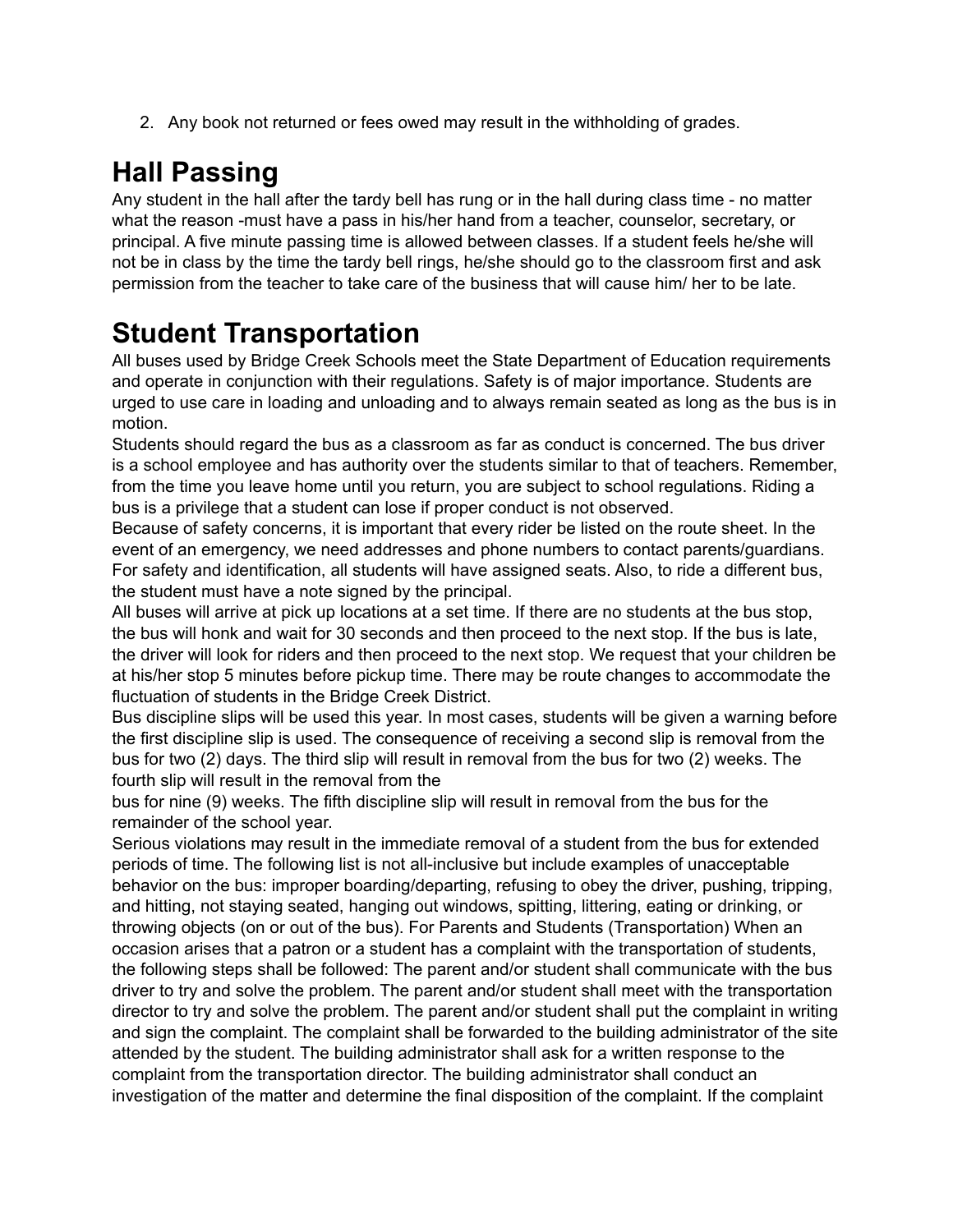2. Any book not returned or fees owed may result in the withholding of grades.

# **Hall Passing**

Any student in the hall after the tardy bell has rung or in the hall during class time - no matter what the reason -must have a pass in his/her hand from a teacher, counselor, secretary, or principal. A five minute passing time is allowed between classes. If a student feels he/she will not be in class by the time the tardy bell rings, he/she should go to the classroom first and ask permission from the teacher to take care of the business that will cause him/ her to be late.

# **Student Transportation**

All buses used by Bridge Creek Schools meet the State Department of Education requirements and operate in conjunction with their regulations. Safety is of major importance. Students are urged to use care in loading and unloading and to always remain seated as long as the bus is in motion.

Students should regard the bus as a classroom as far as conduct is concerned. The bus driver is a school employee and has authority over the students similar to that of teachers. Remember, from the time you leave home until you return, you are subject to school regulations. Riding a bus is a privilege that a student can lose if proper conduct is not observed.

Because of safety concerns, it is important that every rider be listed on the route sheet. In the event of an emergency, we need addresses and phone numbers to contact parents/guardians. For safety and identification, all students will have assigned seats. Also, to ride a different bus, the student must have a note signed by the principal.

All buses will arrive at pick up locations at a set time. If there are no students at the bus stop, the bus will honk and wait for 30 seconds and then proceed to the next stop. If the bus is late, the driver will look for riders and then proceed to the next stop. We request that your children be at his/her stop 5 minutes before pickup time. There may be route changes to accommodate the fluctuation of students in the Bridge Creek District.

Bus discipline slips will be used this year. In most cases, students will be given a warning before the first discipline slip is used. The consequence of receiving a second slip is removal from the bus for two (2) days. The third slip will result in removal from the bus for two (2) weeks. The fourth slip will result in the removal from the

bus for nine (9) weeks. The fifth discipline slip will result in removal from the bus for the remainder of the school year.

Serious violations may result in the immediate removal of a student from the bus for extended periods of time. The following list is not all-inclusive but include examples of unacceptable behavior on the bus: improper boarding/departing, refusing to obey the driver, pushing, tripping, and hitting, not staying seated, hanging out windows, spitting, littering, eating or drinking, or throwing objects (on or out of the bus). For Parents and Students (Transportation) When an occasion arises that a patron or a student has a complaint with the transportation of students, the following steps shall be followed: The parent and/or student shall communicate with the bus driver to try and solve the problem. The parent and/or student shall meet with the transportation director to try and solve the problem. The parent and/or student shall put the complaint in writing and sign the complaint. The complaint shall be forwarded to the building administrator of the site attended by the student. The building administrator shall ask for a written response to the complaint from the transportation director. The building administrator shall conduct an investigation of the matter and determine the final disposition of the complaint. If the complaint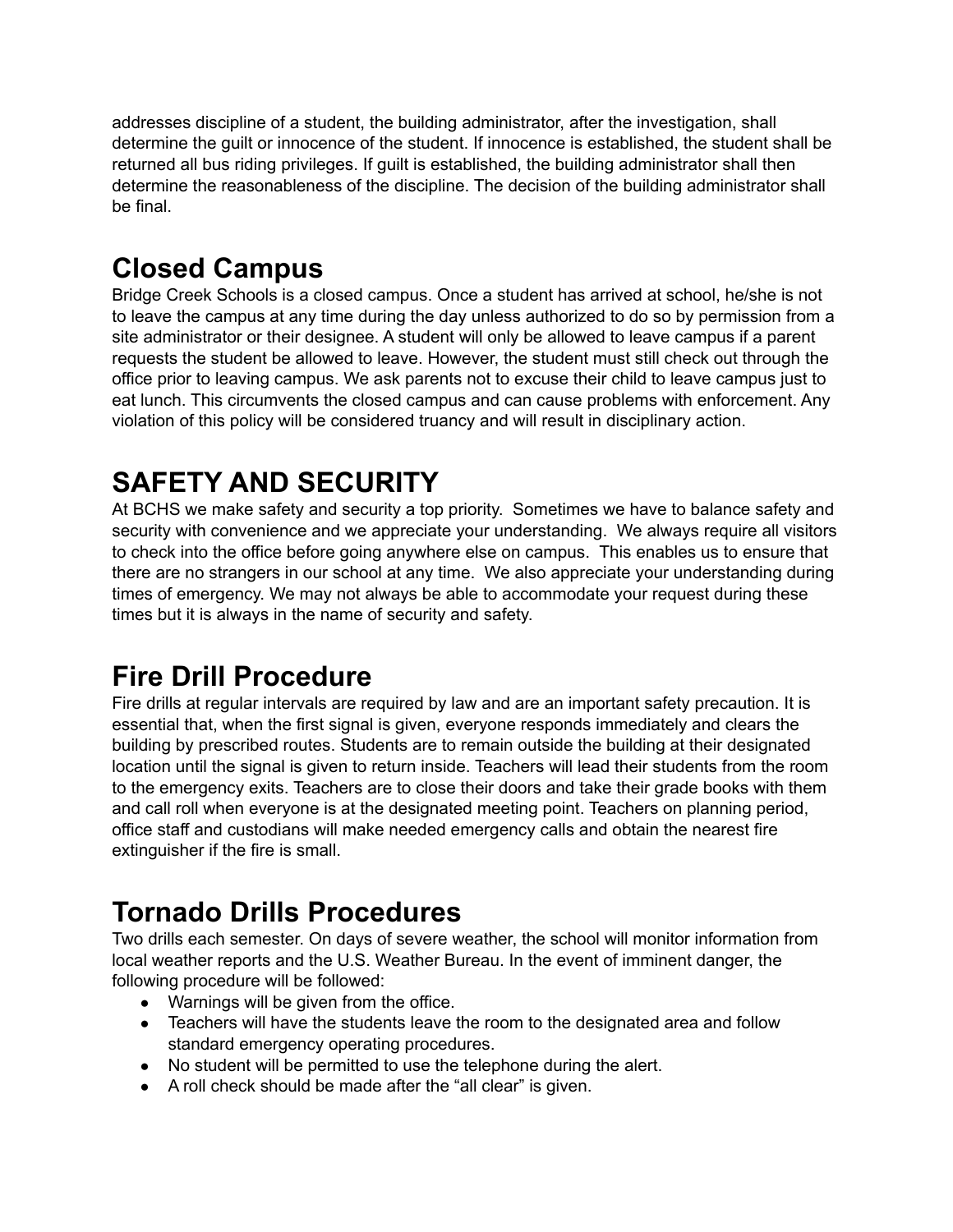addresses discipline of a student, the building administrator, after the investigation, shall determine the guilt or innocence of the student. If innocence is established, the student shall be returned all bus riding privileges. If guilt is established, the building administrator shall then determine the reasonableness of the discipline. The decision of the building administrator shall be final.

# **Closed Campus**

Bridge Creek Schools is a closed campus. Once a student has arrived at school, he/she is not to leave the campus at any time during the day unless authorized to do so by permission from a site administrator or their designee. A student will only be allowed to leave campus if a parent requests the student be allowed to leave. However, the student must still check out through the office prior to leaving campus. We ask parents not to excuse their child to leave campus just to eat lunch. This circumvents the closed campus and can cause problems with enforcement. Any violation of this policy will be considered truancy and will result in disciplinary action.

# **SAFETY AND SECURITY**

At BCHS we make safety and security a top priority. Sometimes we have to balance safety and security with convenience and we appreciate your understanding. We always require all visitors to check into the office before going anywhere else on campus. This enables us to ensure that there are no strangers in our school at any time. We also appreciate your understanding during times of emergency. We may not always be able to accommodate your request during these times but it is always in the name of security and safety.

# **Fire Drill Procedure**

Fire drills at regular intervals are required by law and are an important safety precaution. It is essential that, when the first signal is given, everyone responds immediately and clears the building by prescribed routes. Students are to remain outside the building at their designated location until the signal is given to return inside. Teachers will lead their students from the room to the emergency exits. Teachers are to close their doors and take their grade books with them and call roll when everyone is at the designated meeting point. Teachers on planning period, office staff and custodians will make needed emergency calls and obtain the nearest fire extinguisher if the fire is small.

# **Tornado Drills Procedures**

Two drills each semester. On days of severe weather, the school will monitor information from local weather reports and the U.S. Weather Bureau. In the event of imminent danger, the following procedure will be followed:

- Warnings will be given from the office.
- Teachers will have the students leave the room to the designated area and follow standard emergency operating procedures.
- No student will be permitted to use the telephone during the alert.
- A roll check should be made after the "all clear" is given.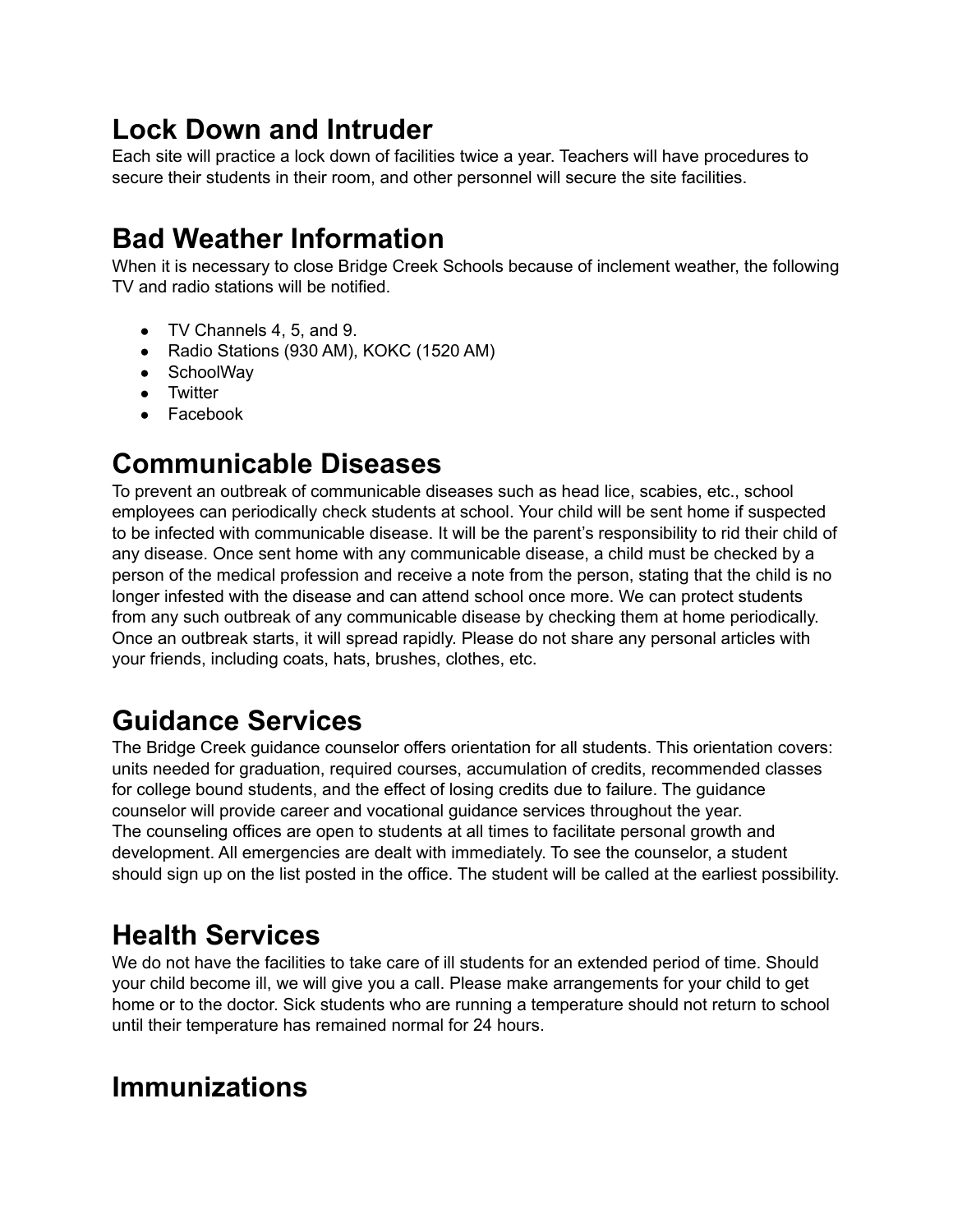# **Lock Down and Intruder**

Each site will practice a lock down of facilities twice a year. Teachers will have procedures to secure their students in their room, and other personnel will secure the site facilities.

# **Bad Weather Information**

When it is necessary to close Bridge Creek Schools because of inclement weather, the following TV and radio stations will be notified.

- TV Channels 4, 5, and 9.
- Radio Stations (930 AM), KOKC (1520 AM)
- SchoolWay
- Twitter
- Facebook

### **Communicable Diseases**

To prevent an outbreak of communicable diseases such as head lice, scabies, etc., school employees can periodically check students at school. Your child will be sent home if suspected to be infected with communicable disease. It will be the parent's responsibility to rid their child of any disease. Once sent home with any communicable disease, a child must be checked by a person of the medical profession and receive a note from the person, stating that the child is no longer infested with the disease and can attend school once more. We can protect students from any such outbreak of any communicable disease by checking them at home periodically. Once an outbreak starts, it will spread rapidly. Please do not share any personal articles with your friends, including coats, hats, brushes, clothes, etc.

# **Guidance Services**

The Bridge Creek guidance counselor offers orientation for all students. This orientation covers: units needed for graduation, required courses, accumulation of credits, recommended classes for college bound students, and the effect of losing credits due to failure. The guidance counselor will provide career and vocational guidance services throughout the year. The counseling offices are open to students at all times to facilitate personal growth and development. All emergencies are dealt with immediately. To see the counselor, a student should sign up on the list posted in the office. The student will be called at the earliest possibility.

# **Health Services**

We do not have the facilities to take care of ill students for an extended period of time. Should your child become ill, we will give you a call. Please make arrangements for your child to get home or to the doctor. Sick students who are running a temperature should not return to school until their temperature has remained normal for 24 hours.

### **Immunizations**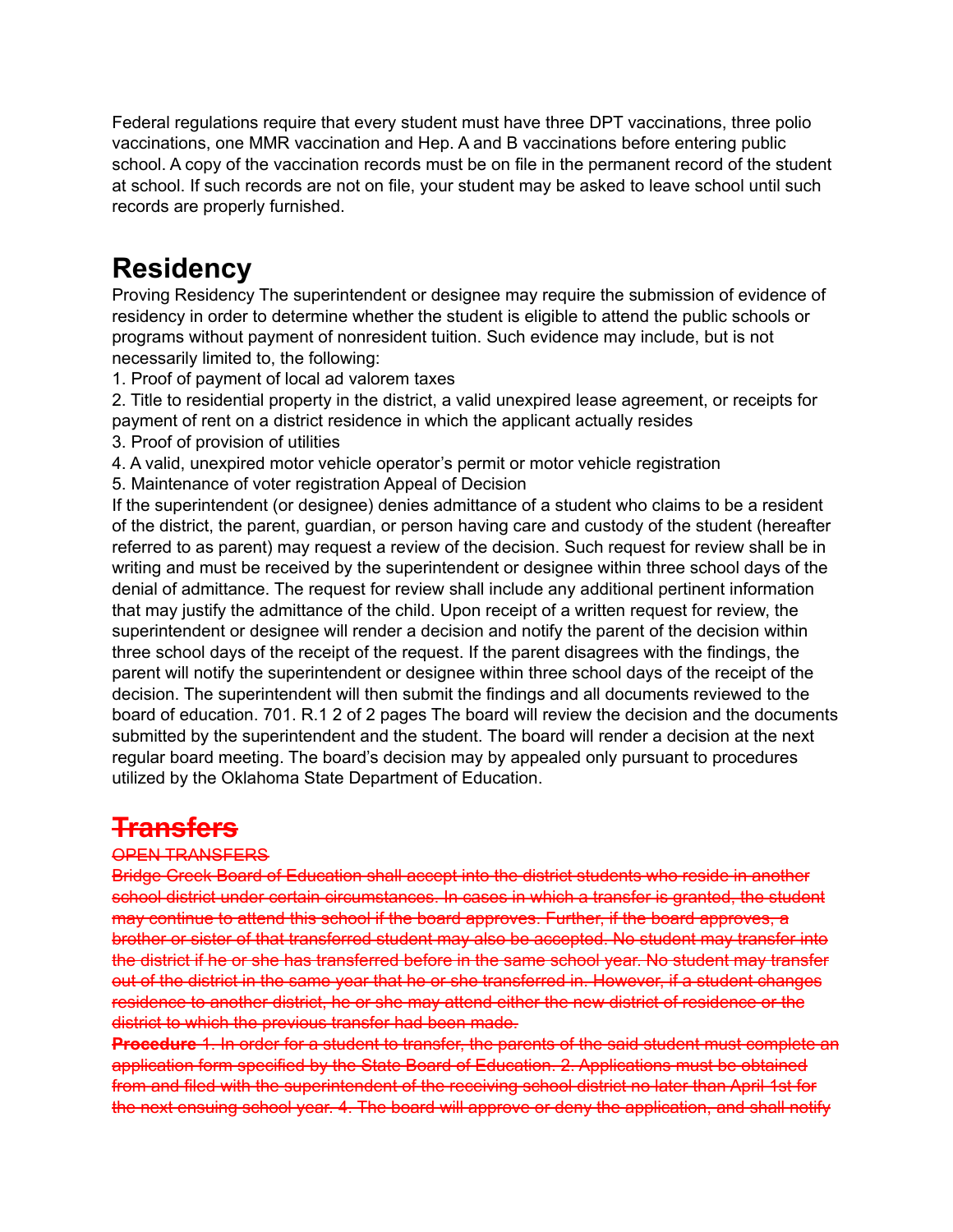Federal regulations require that every student must have three DPT vaccinations, three polio vaccinations, one MMR vaccination and Hep. A and B vaccinations before entering public school. A copy of the vaccination records must be on file in the permanent record of the student at school. If such records are not on file, your student may be asked to leave school until such records are properly furnished.

### **Residency**

Proving Residency The superintendent or designee may require the submission of evidence of residency in order to determine whether the student is eligible to attend the public schools or programs without payment of nonresident tuition. Such evidence may include, but is not necessarily limited to, the following:

1. Proof of payment of local ad valorem taxes

2. Title to residential property in the district, a valid unexpired lease agreement, or receipts for payment of rent on a district residence in which the applicant actually resides

- 3. Proof of provision of utilities
- 4. A valid, unexpired motor vehicle operator's permit or motor vehicle registration

5. Maintenance of voter registration Appeal of Decision

If the superintendent (or designee) denies admittance of a student who claims to be a resident of the district, the parent, guardian, or person having care and custody of the student (hereafter referred to as parent) may request a review of the decision. Such request for review shall be in writing and must be received by the superintendent or designee within three school days of the denial of admittance. The request for review shall include any additional pertinent information that may justify the admittance of the child. Upon receipt of a written request for review, the superintendent or designee will render a decision and notify the parent of the decision within three school days of the receipt of the request. If the parent disagrees with the findings, the parent will notify the superintendent or designee within three school days of the receipt of the decision. The superintendent will then submit the findings and all documents reviewed to the board of education. 701. R.1 2 of 2 pages The board will review the decision and the documents submitted by the superintendent and the student. The board will render a decision at the next regular board meeting. The board's decision may by appealed only pursuant to procedures utilized by the Oklahoma State Department of Education.

### **Transfers**

### OPEN TRANSFERS

Bridge Creek Board of Education shall accept into the district students who reside in another school district under certain circumstances. In cases in which a transfer is granted, the student may continue to attend this school if the board approves. Further, if the board approves, a brother or sister of that transferred student may also be accepted. No student may transfer into the district if he or she has transferred before in the same school year. No student may transfer out of the district in the same year that he or she transferred in. However, if a student changes residence to another district, he or she may attend either the new district of residence or the district to which the previous transfer had been made.

**Procedure** 1. In order for a student to transfer, the parents of the said student must complete an application form specified by the State Board of Education. 2. Applications must be obtained from and filed with the superintendent of the receiving school district no later than April 1st for the next ensuing school year. 4. The board will approve or deny the application, and shall notify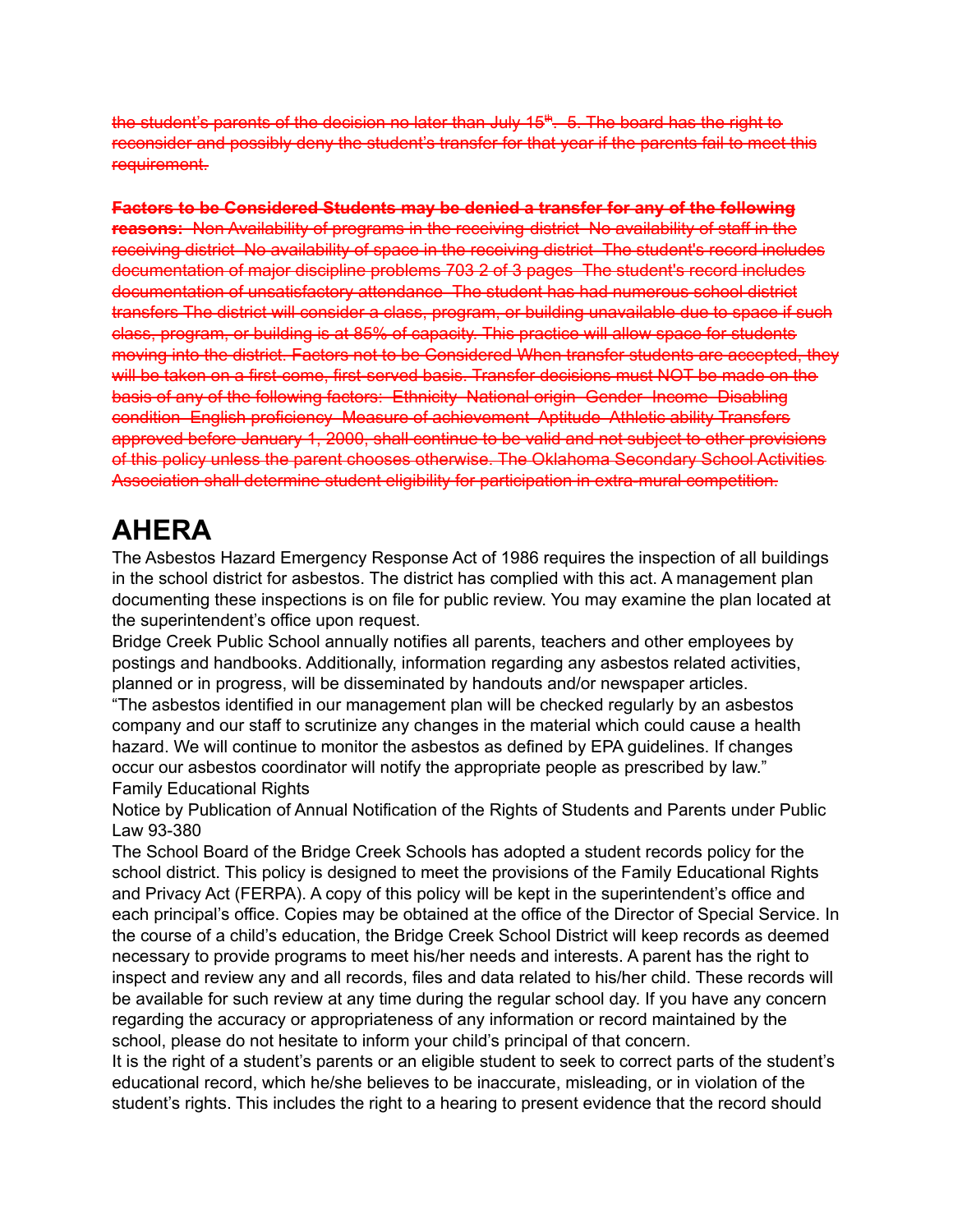the student's parents of the decision no later than July 15<sup>th</sup>. 5. The board has the right to reconsider and possibly deny the student's transfer for that year if the parents fail to meet this requirement.

**Factors to be Considered Students may be denied a transfer for any of the following reasons:** Non Availability of programs in the receiving district No availability of staff in the receiving district No availability of space in the receiving district The student's record includes documentation of major discipline problems 703 2 of 3 pages The student's record includes documentation of unsatisfactory attendance The student has had numerous school district transfers The district will consider a class, program, or building unavailable due to space if such class, program, or building is at 85% of capacity. This practice will allow space for students moving into the district. Factors not to be Considered When transfer students are accepted, they will be taken on a first-come, first-served basis. Transfer decisions must NOT be made on the basis of any of the following factors: Ethnicity National origin Gender Income Disabling condition English proficiency Measure of achievement Aptitude Athletic ability Transfers approved before January 1, 2000, shall continue to be valid and not subject to other provisions of this policy unless the parent chooses otherwise. The Oklahoma Secondary School Activities Association shall determine student eligibility for participation in extra-mural competition.

# **AHERA**

The Asbestos Hazard Emergency Response Act of 1986 requires the inspection of all buildings in the school district for asbestos. The district has complied with this act. A management plan documenting these inspections is on file for public review. You may examine the plan located at the superintendent's office upon request.

Bridge Creek Public School annually notifies all parents, teachers and other employees by postings and handbooks. Additionally, information regarding any asbestos related activities, planned or in progress, will be disseminated by handouts and/or newspaper articles.

"The asbestos identified in our management plan will be checked regularly by an asbestos company and our staff to scrutinize any changes in the material which could cause a health hazard. We will continue to monitor the asbestos as defined by EPA guidelines. If changes occur our asbestos coordinator will notify the appropriate people as prescribed by law." Family Educational Rights

Notice by Publication of Annual Notification of the Rights of Students and Parents under Public Law 93-380

The School Board of the Bridge Creek Schools has adopted a student records policy for the school district. This policy is designed to meet the provisions of the Family Educational Rights and Privacy Act (FERPA). A copy of this policy will be kept in the superintendent's office and each principal's office. Copies may be obtained at the office of the Director of Special Service. In the course of a child's education, the Bridge Creek School District will keep records as deemed necessary to provide programs to meet his/her needs and interests. A parent has the right to inspect and review any and all records, files and data related to his/her child. These records will be available for such review at any time during the regular school day. If you have any concern regarding the accuracy or appropriateness of any information or record maintained by the school, please do not hesitate to inform your child's principal of that concern.

It is the right of a student's parents or an eligible student to seek to correct parts of the student's educational record, which he/she believes to be inaccurate, misleading, or in violation of the student's rights. This includes the right to a hearing to present evidence that the record should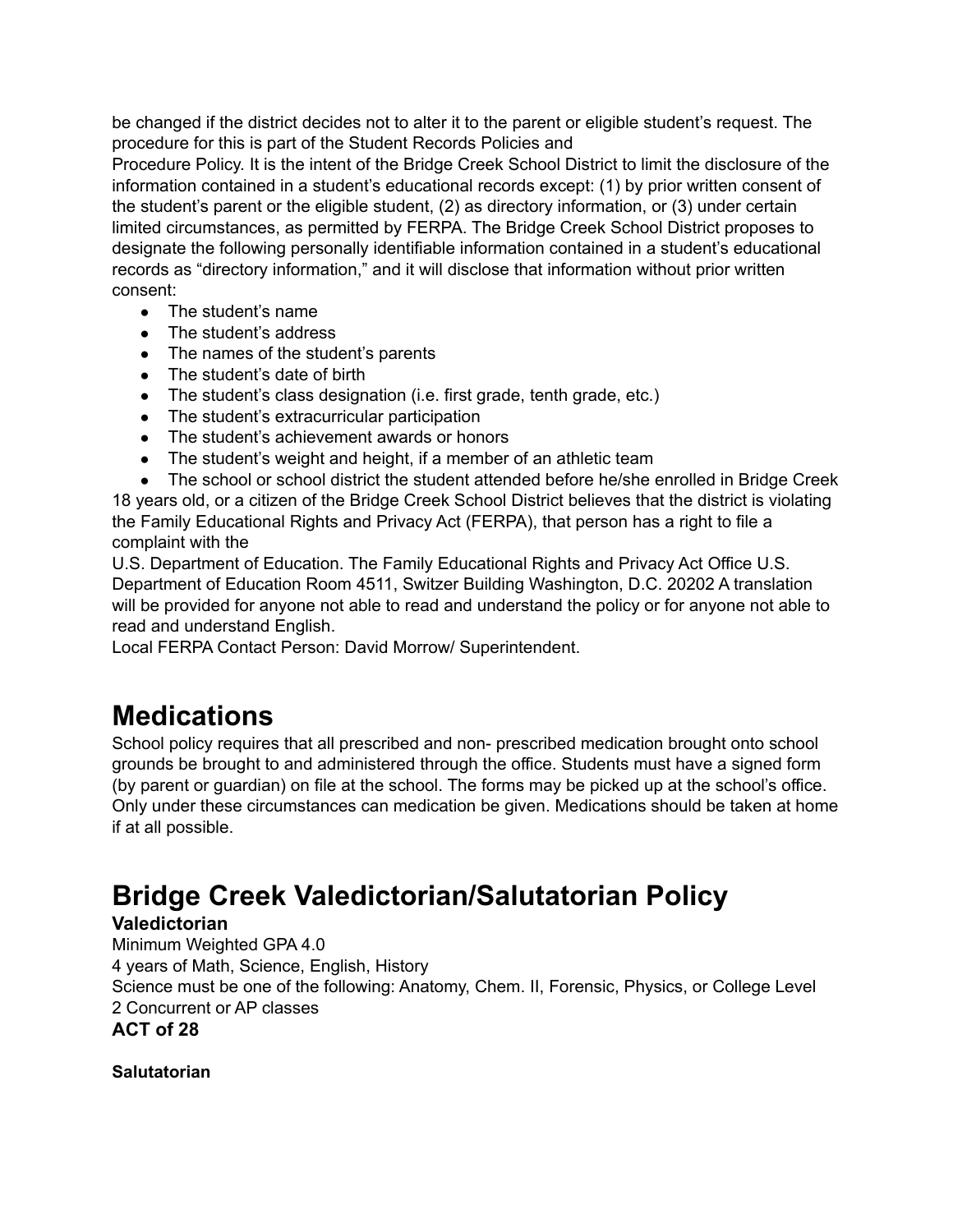be changed if the district decides not to alter it to the parent or eligible student's request. The procedure for this is part of the Student Records Policies and

Procedure Policy. It is the intent of the Bridge Creek School District to limit the disclosure of the information contained in a student's educational records except: (1) by prior written consent of the student's parent or the eligible student, (2) as directory information, or (3) under certain limited circumstances, as permitted by FERPA. The Bridge Creek School District proposes to designate the following personally identifiable information contained in a student's educational records as "directory information," and it will disclose that information without prior written consent:

- The student's name
- The student's address
- The names of the student's parents
- The student's date of birth
- The student's class designation (i.e. first grade, tenth grade, etc.)
- The student's extracurricular participation
- The student's achievement awards or honors
- The student's weight and height, if a member of an athletic team

● The school or school district the student attended before he/she enrolled in Bridge Creek 18 years old, or a citizen of the Bridge Creek School District believes that the district is violating the Family Educational Rights and Privacy Act (FERPA), that person has a right to file a complaint with the

U.S. Department of Education. The Family Educational Rights and Privacy Act Office U.S. Department of Education Room 4511, Switzer Building Washington, D.C. 20202 A translation will be provided for anyone not able to read and understand the policy or for anyone not able to read and understand English.

Local FERPA Contact Person: David Morrow/ Superintendent.

### **Medications**

School policy requires that all prescribed and non- prescribed medication brought onto school grounds be brought to and administered through the office. Students must have a signed form (by parent or guardian) on file at the school. The forms may be picked up at the school's office. Only under these circumstances can medication be given. Medications should be taken at home if at all possible.

# **Bridge Creek Valedictorian/Salutatorian Policy**

### **Valedictorian**

Minimum Weighted GPA 4.0 4 years of Math, Science, English, History Science must be one of the following: Anatomy, Chem. II, Forensic, Physics, or College Level 2 Concurrent or AP classes **ACT of 28**

**Salutatorian**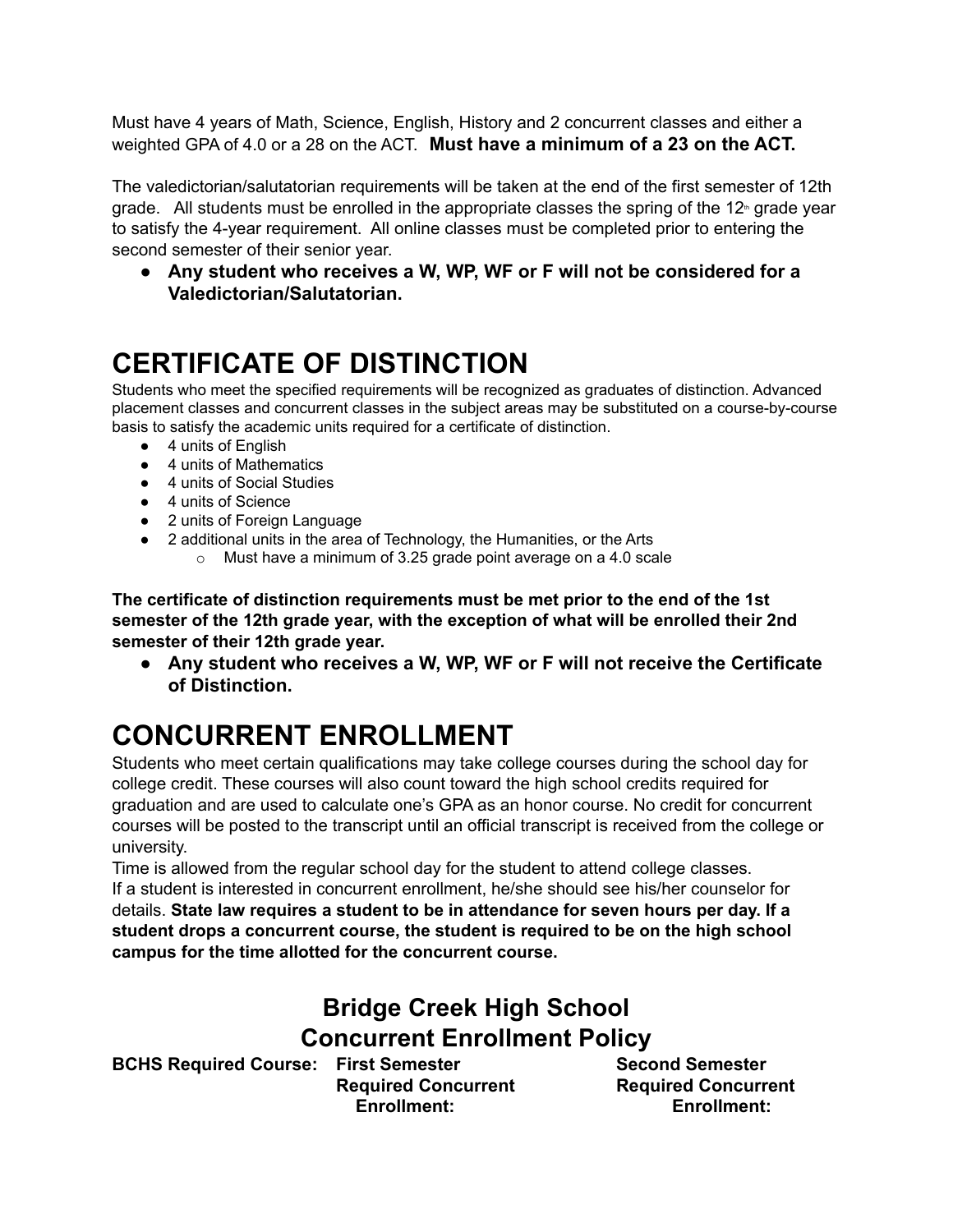Must have 4 years of Math, Science, English, History and 2 concurrent classes and either a weighted GPA of 4.0 or a 28 on the ACT. **Must have a minimum of a 23 on the ACT.**

The valedictorian/salutatorian requirements will be taken at the end of the first semester of 12th grade. All students must be enrolled in the appropriate classes the spring of the 12<sup>th</sup> grade year to satisfy the 4-year requirement. All online classes must be completed prior to entering the second semester of their senior year.

**● Any student who receives a W, WP, WF or F will not be considered for a Valedictorian/Salutatorian.**

# **CERTIFICATE OF DISTINCTION**

Students who meet the specified requirements will be recognized as graduates of distinction. Advanced placement classes and concurrent classes in the subject areas may be substituted on a course-by-course basis to satisfy the academic units required for a certificate of distinction.

- 4 units of English
- 4 units of Mathematics
- 4 units of Social Studies
- 4 units of Science
- 2 units of Foreign Language
- 2 additional units in the area of Technology, the Humanities, or the Arts
	- o Must have a minimum of 3.25 grade point average on a 4.0 scale

**The certificate of distinction requirements must be met prior to the end of the 1st semester of the 12th grade year, with the exception of what will be enrolled their 2nd semester of their 12th grade year.**

**● Any student who receives a W, WP, WF or F will not receive the Certificate of Distinction.**

# **CONCURRENT ENROLLMENT**

Students who meet certain qualifications may take college courses during the school day for college credit. These courses will also count toward the high school credits required for graduation and are used to calculate one's GPA as an honor course. No credit for concurrent courses will be posted to the transcript until an official transcript is received from the college or university.

Time is allowed from the regular school day for the student to attend college classes. If a student is interested in concurrent enrollment, he/she should see his/her counselor for details. **State law requires a student to be in attendance for seven hours per day. If a student drops a concurrent course, the student is required to be on the high school campus for the time allotted for the concurrent course.**

### **Bridge Creek High School Concurrent Enrollment Policy**

**BCHS Required Course: First Semester Second Semester**

**Required Concurrent Required Concurrent Enrollment: Enrollment:**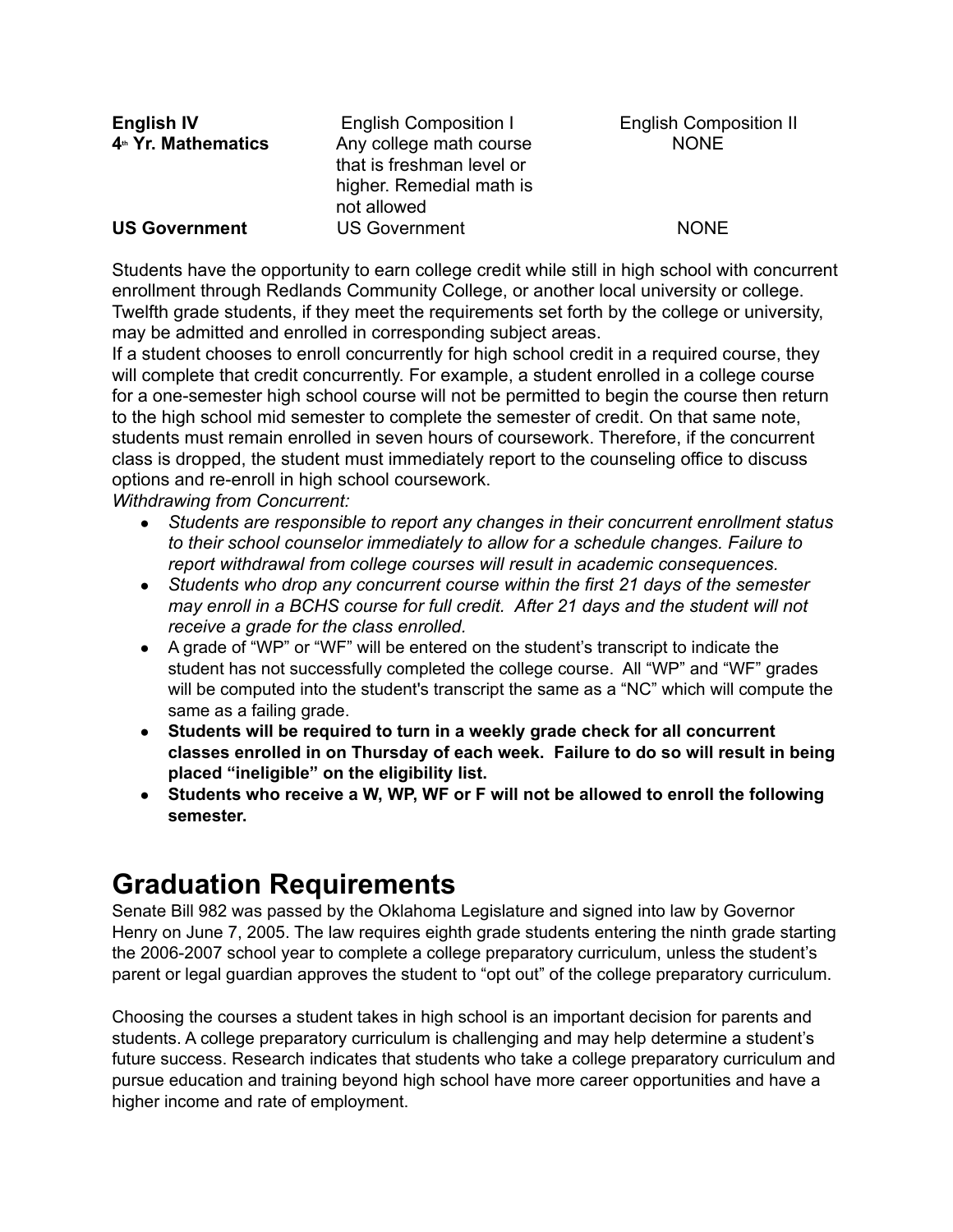| <b>English IV</b>               | <b>English Composition I</b>                                                                    | <b>English Composition II</b> |
|---------------------------------|-------------------------------------------------------------------------------------------------|-------------------------------|
| 4 <sup>th</sup> Yr. Mathematics | Any college math course<br>that is freshman level or<br>higher. Remedial math is<br>not allowed | <b>NONE</b>                   |
| <b>US Government</b>            | <b>US Government</b>                                                                            | <b>NONE</b>                   |

Students have the opportunity to earn college credit while still in high school with concurrent enrollment through Redlands Community College, or another local university or college. Twelfth grade students, if they meet the requirements set forth by the college or university, may be admitted and enrolled in corresponding subject areas.

If a student chooses to enroll concurrently for high school credit in a required course, they will complete that credit concurrently. For example, a student enrolled in a college course for a one-semester high school course will not be permitted to begin the course then return to the high school mid semester to complete the semester of credit. On that same note, students must remain enrolled in seven hours of coursework. Therefore, if the concurrent class is dropped, the student must immediately report to the counseling office to discuss options and re-enroll in high school coursework.

*Withdrawing from Concurrent:*

- *● Students are responsible to report any changes in their concurrent enrollment status to their school counselor immediately to allow for a schedule changes. Failure to report withdrawal from college courses will result in academic consequences.*
- *● Students who drop any concurrent course within the first 21 days of the semester may enroll in a BCHS course for full credit. After 21 days and the student will not receive a grade for the class enrolled.*
- A grade of "WP" or "WF" will be entered on the student's transcript to indicate the student has not successfully completed the college course. All "WP" and "WF" grades will be computed into the student's transcript the same as a "NC" which will compute the same as a failing grade.
- **● Students will be required to turn in a weekly grade check for all concurrent classes enrolled in on Thursday of each week. Failure to do so will result in being placed "ineligible" on the eligibility list.**
- **● Students who receive a W, WP, WF or F will not be allowed to enroll the following semester.**

# **Graduation Requirements**

Senate Bill 982 was passed by the Oklahoma Legislature and signed into law by Governor Henry on June 7, 2005. The law requires eighth grade students entering the ninth grade starting the 2006-2007 school year to complete a college preparatory curriculum, unless the student's parent or legal guardian approves the student to "opt out" of the college preparatory curriculum.

Choosing the courses a student takes in high school is an important decision for parents and students. A college preparatory curriculum is challenging and may help determine a student's future success. Research indicates that students who take a college preparatory curriculum and pursue education and training beyond high school have more career opportunities and have a higher income and rate of employment.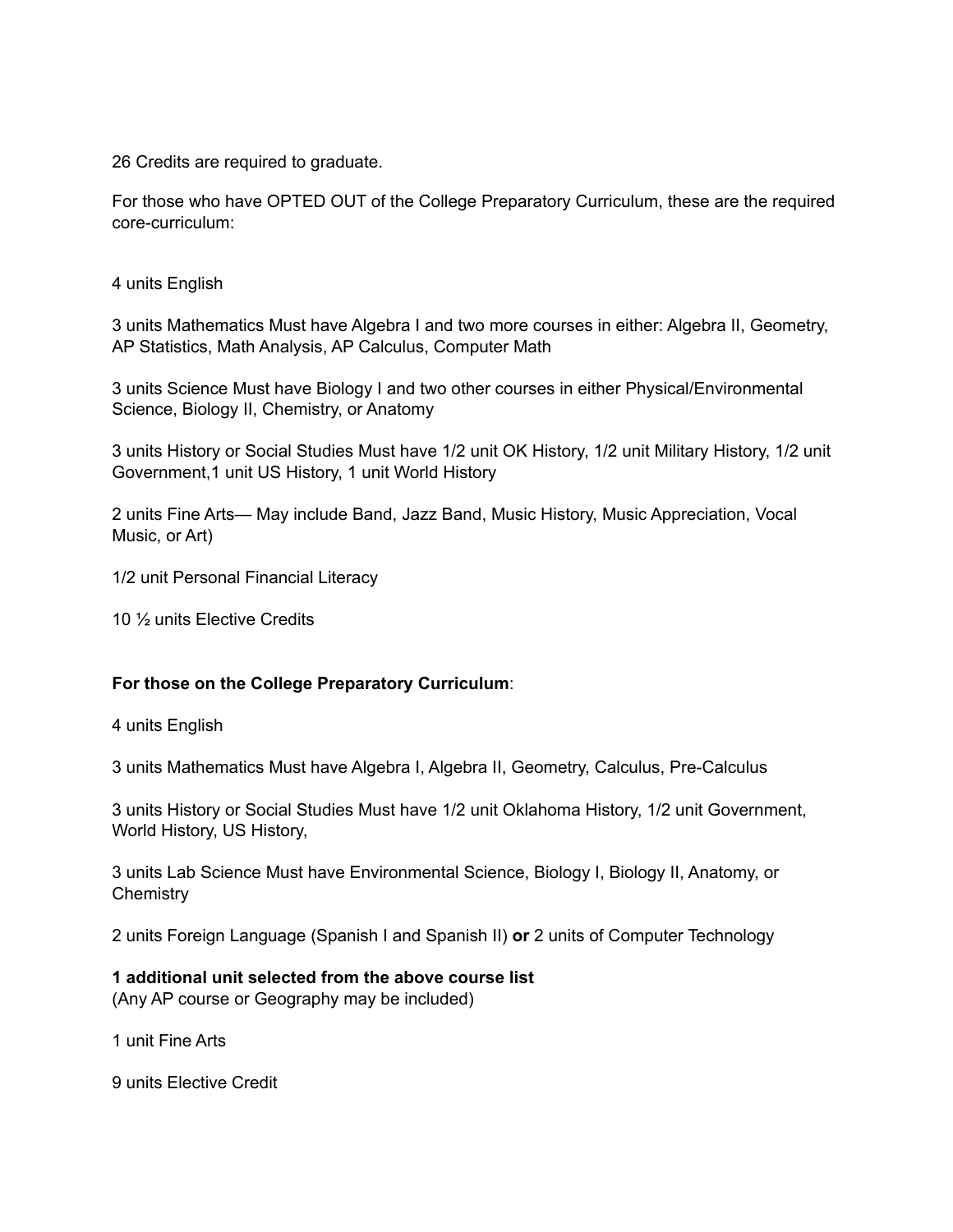26 Credits are required to graduate.

For those who have OPTED OUT of the College Preparatory Curriculum, these are the required core-curriculum:

4 units English

3 units Mathematics Must have Algebra I and two more courses in either: Algebra II, Geometry, AP Statistics, Math Analysis, AP Calculus, Computer Math

3 units Science Must have Biology I and two other courses in either Physical/Environmental Science, Biology II, Chemistry, or Anatomy

3 units History or Social Studies Must have 1/2 unit OK History, 1/2 unit Military History, 1/2 unit Government,1 unit US History, 1 unit World History

2 units Fine Arts— May include Band, Jazz Band, Music History, Music Appreciation, Vocal Music, or Art)

1/2 unit Personal Financial Literacy

10 ½ units Elective Credits

#### **For those on the College Preparatory Curriculum**:

4 units English

3 units Mathematics Must have Algebra I, Algebra II, Geometry, Calculus, Pre-Calculus

3 units History or Social Studies Must have 1/2 unit Oklahoma History, 1/2 unit Government, World History, US History,

3 units Lab Science Must have Environmental Science, Biology I, Biology II, Anatomy, or **Chemistry** 

2 units Foreign Language (Spanish I and Spanish II) **or** 2 units of Computer Technology

**1 additional unit selected from the above course list**

(Any AP course or Geography may be included)

1 unit Fine Arts

9 units Elective Credit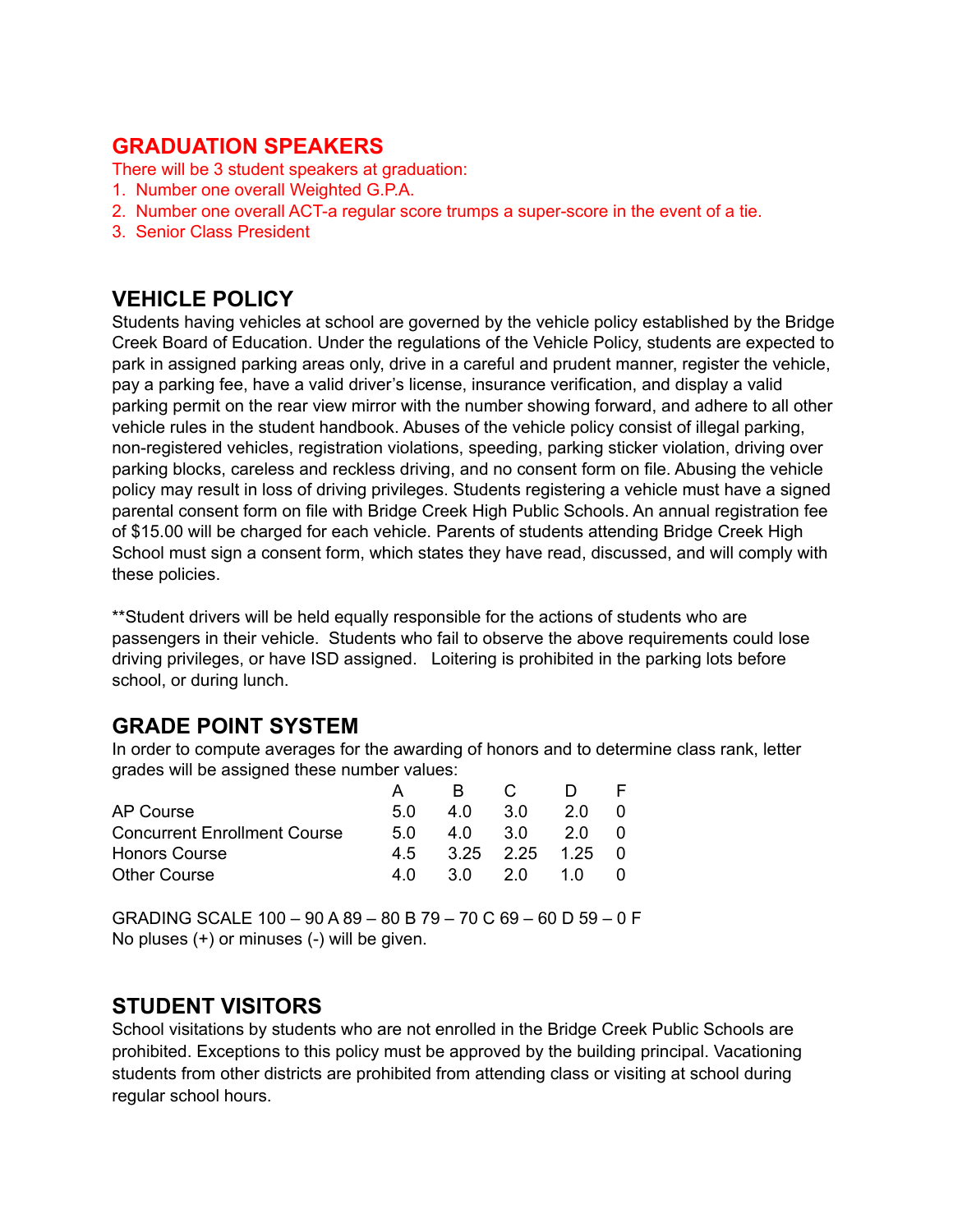### **GRADUATION SPEAKERS**

There will be 3 student speakers at graduation:

- 1. Number one overall Weighted G.P.A.
- 2. Number one overall ACT-a regular score trumps a super-score in the event of a tie.
- 3. Senior Class President

### **VEHICLE POLICY**

Students having vehicles at school are governed by the vehicle policy established by the Bridge Creek Board of Education. Under the regulations of the Vehicle Policy, students are expected to park in assigned parking areas only, drive in a careful and prudent manner, register the vehicle, pay a parking fee, have a valid driver's license, insurance verification, and display a valid parking permit on the rear view mirror with the number showing forward, and adhere to all other vehicle rules in the student handbook. Abuses of the vehicle policy consist of illegal parking, non-registered vehicles, registration violations, speeding, parking sticker violation, driving over parking blocks, careless and reckless driving, and no consent form on file. Abusing the vehicle policy may result in loss of driving privileges. Students registering a vehicle must have a signed parental consent form on file with Bridge Creek High Public Schools. An annual registration fee of \$15.00 will be charged for each vehicle. Parents of students attending Bridge Creek High School must sign a consent form, which states they have read, discussed, and will comply with these policies.

\*\*Student drivers will be held equally responsible for the actions of students who are passengers in their vehicle. Students who fail to observe the above requirements could lose driving privileges, or have ISD assigned. Loitering is prohibited in the parking lots before school, or during lunch.

### **GRADE POINT SYSTEM**

In order to compute averages for the awarding of honors and to determine class rank, letter grades will be assigned these number values:

|                                     |      | R.      | $\overline{C}$       |     |  |
|-------------------------------------|------|---------|----------------------|-----|--|
| AP Course                           | .5 Q | 4.0 3.0 |                      | 20  |  |
| <b>Concurrent Enrollment Course</b> | 5 O  | 4.0 3.0 |                      | 20  |  |
| <b>Honors Course</b>                |      |         | 4.5 3.25 2.25 1.25 0 |     |  |
| <b>Other Course</b>                 | 4 N  | 30 20   |                      | 1 N |  |

GRADING SCALE 100 – 90 A 89 – 80 B 79 – 70 C 69 – 60 D 59 – 0 F No pluses (+) or minuses (-) will be given.

### **STUDENT VISITORS**

School visitations by students who are not enrolled in the Bridge Creek Public Schools are prohibited. Exceptions to this policy must be approved by the building principal. Vacationing students from other districts are prohibited from attending class or visiting at school during regular school hours.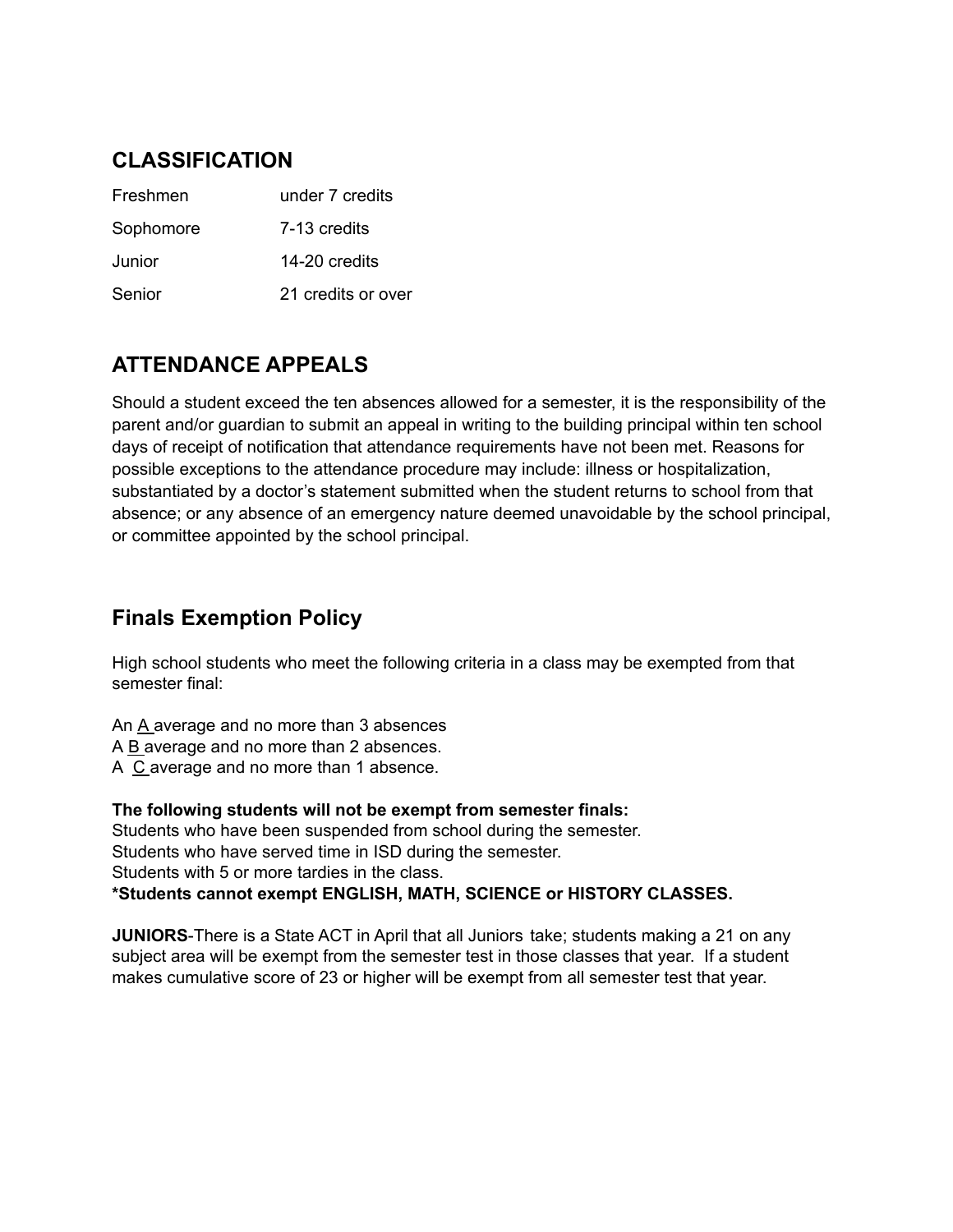### **CLASSIFICATION**

| Freshmen  | under 7 credits    |
|-----------|--------------------|
| Sophomore | 7-13 credits       |
| Junior    | 14-20 credits      |
| Senior    | 21 credits or over |

### **ATTENDANCE APPEALS**

Should a student exceed the ten absences allowed for a semester, it is the responsibility of the parent and/or guardian to submit an appeal in writing to the building principal within ten school days of receipt of notification that attendance requirements have not been met. Reasons for possible exceptions to the attendance procedure may include: illness or hospitalization, substantiated by a doctor's statement submitted when the student returns to school from that absence; or any absence of an emergency nature deemed unavoidable by the school principal, or committee appointed by the school principal.

### **Finals Exemption Policy**

High school students who meet the following criteria in a class may be exempted from that semester final:

An A average and no more than 3 absences A B average and no more than 2 absences. A C average and no more than 1 absence.

**The following students will not be exempt from semester finals:** Students who have been suspended from school during the semester. Students who have served time in ISD during the semester. Students with 5 or more tardies in the class. **\*Students cannot exempt ENGLISH, MATH, SCIENCE or HISTORY CLASSES.**

**JUNIORS**-There is a State ACT in April that all Juniors take; students making a 21 on any subject area will be exempt from the semester test in those classes that year. If a student makes cumulative score of 23 or higher will be exempt from all semester test that year.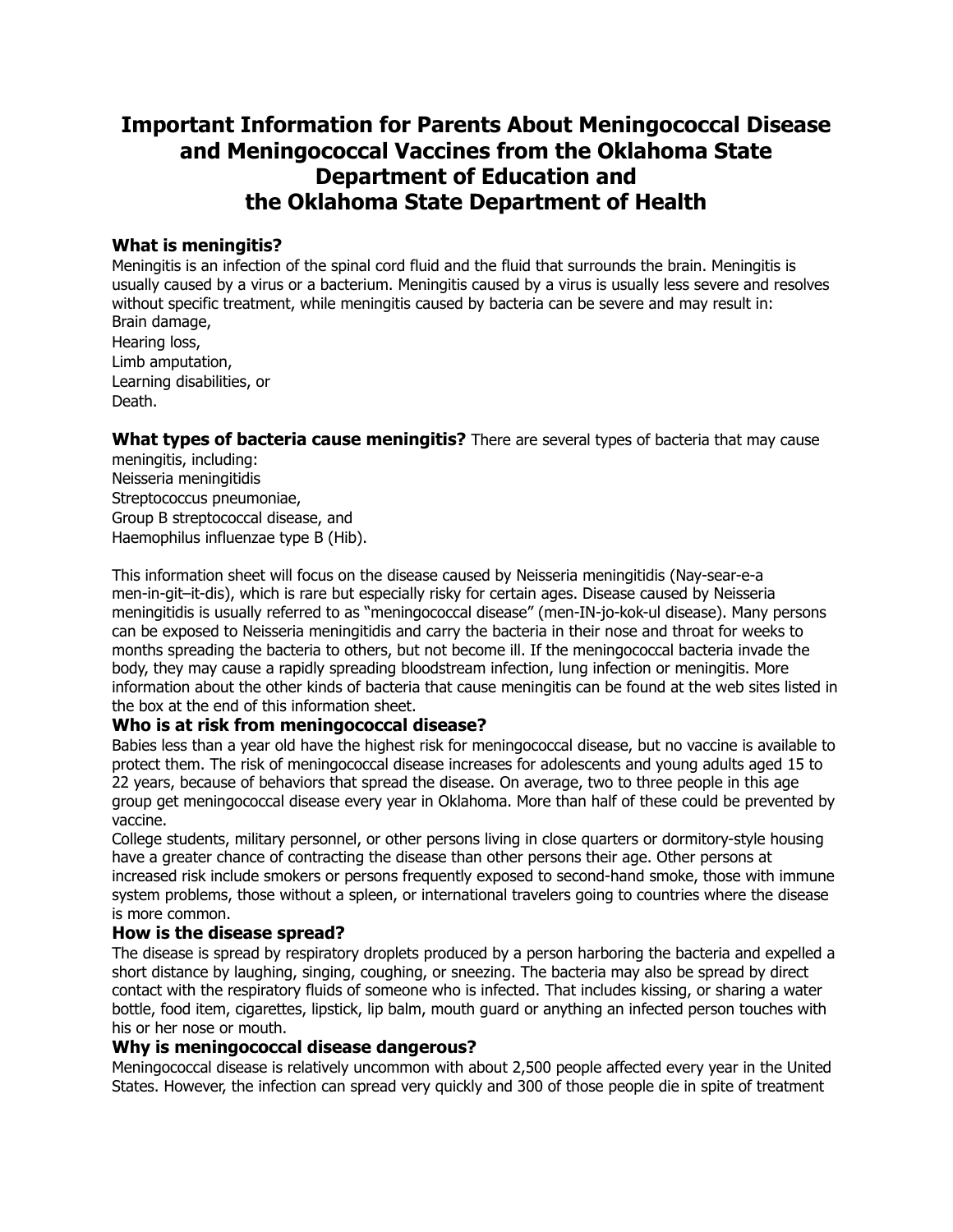### **Important Information for Parents About Meningococcal Disease and Meningococcal Vaccines from the Oklahoma State Department of Education and the Oklahoma State Department of Health**

#### **What is meningitis?**

Meningitis is an infection of the spinal cord fluid and the fluid that surrounds the brain. Meningitis is usually caused by a virus or a bacterium. Meningitis caused by a virus is usually less severe and resolves without specific treatment, while meningitis caused by bacteria can be severe and may result in: Brain damage, Hearing loss, Limb amputation, Learning disabilities, or

Death.

#### **What types of bacteria cause meningitis?** There are several types of bacteria that may cause

meningitis, including: Neisseria meningitidis Streptococcus pneumoniae, Group B streptococcal disease, and Haemophilus influenzae type B (Hib).

This information sheet will focus on the disease caused by Neisseria meningitidis (Nay-sear-e-a men-in-git–it-dis), which is rare but especially risky for certain ages. Disease caused by Neisseria meningitidis is usually referred to as "meningococcal disease" (men-IN-jo-kok-ul disease). Many persons can be exposed to Neisseria meningitidis and carry the bacteria in their nose and throat for weeks to months spreading the bacteria to others, but not become ill. If the meningococcal bacteria invade the body, they may cause a rapidly spreading bloodstream infection, lung infection or meningitis. More information about the other kinds of bacteria that cause meningitis can be found at the web sites listed in the box at the end of this information sheet.

### **Who is at risk from meningococcal disease?**

Babies less than a year old have the highest risk for meningococcal disease, but no vaccine is available to protect them. The risk of meningococcal disease increases for adolescents and young adults aged 15 to 22 years, because of behaviors that spread the disease. On average, two to three people in this age group get meningococcal disease every year in Oklahoma. More than half of these could be prevented by vaccine.

College students, military personnel, or other persons living in close quarters or dormitory-style housing have a greater chance of contracting the disease than other persons their age. Other persons at increased risk include smokers or persons frequently exposed to second-hand smoke, those with immune system problems, those without a spleen, or international travelers going to countries where the disease is more common.

### **How is the disease spread?**

The disease is spread by respiratory droplets produced by a person harboring the bacteria and expelled a short distance by laughing, singing, coughing, or sneezing. The bacteria may also be spread by direct contact with the respiratory fluids of someone who is infected. That includes kissing, or sharing a water bottle, food item, cigarettes, lipstick, lip balm, mouth guard or anything an infected person touches with his or her nose or mouth.

#### **Why is meningococcal disease dangerous?**

Meningococcal disease is relatively uncommon with about 2,500 people affected every year in the United States. However, the infection can spread very quickly and 300 of those people die in spite of treatment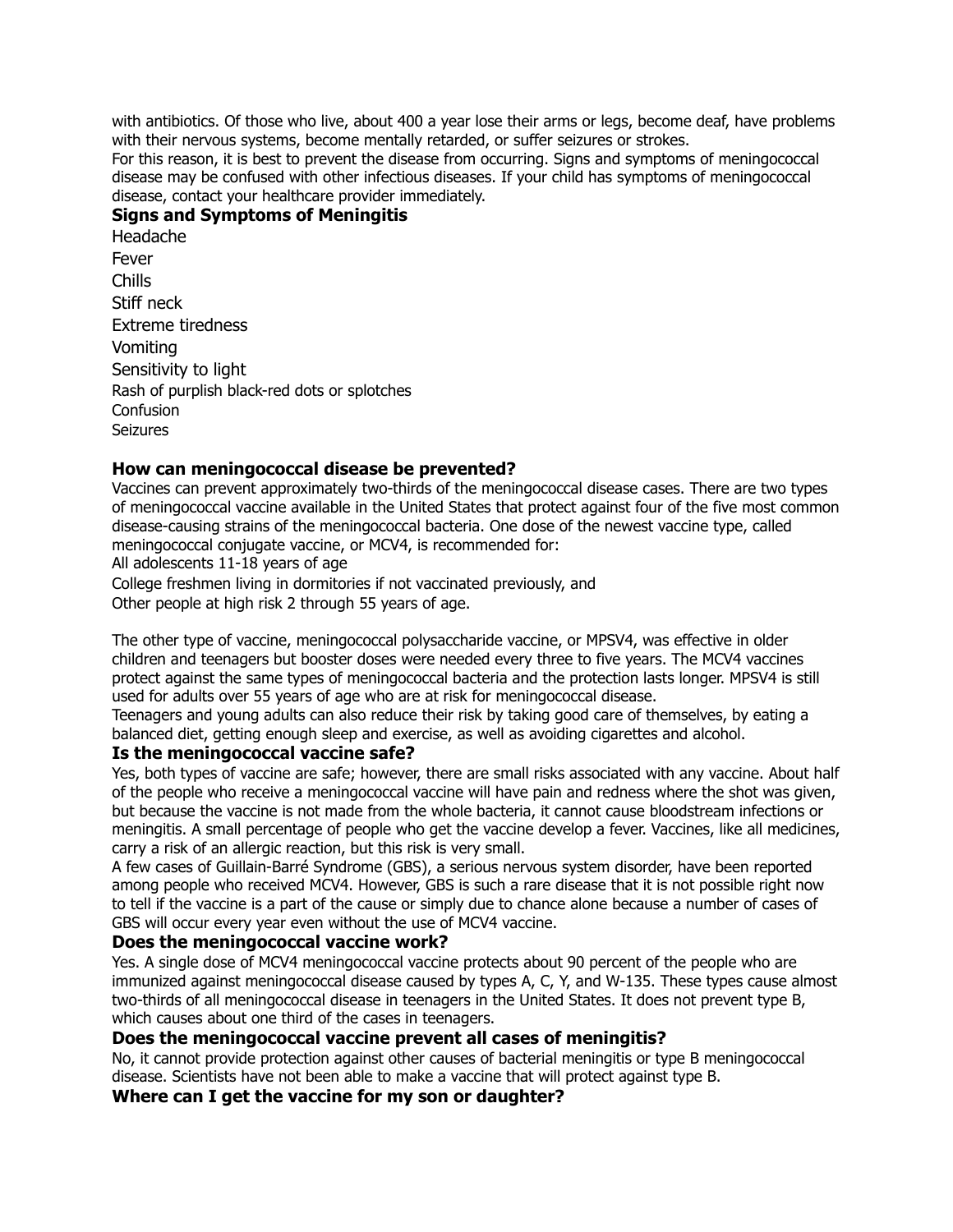with antibiotics. Of those who live, about 400 a year lose their arms or legs, become deaf, have problems with their nervous systems, become mentally retarded, or suffer seizures or strokes.

For this reason, it is best to prevent the disease from occurring. Signs and symptoms of meningococcal disease may be confused with other infectious diseases. If your child has symptoms of meningococcal disease, contact your healthcare provider immediately.

#### **Signs and Symptoms of Meningitis**

Headache Fever Chills Stiff neck Extreme tiredness Vomiting Sensitivity to light Rash of purplish black-red dots or splotches **Confusion Seizures** 

#### **How can meningococcal disease be prevented?**

Vaccines can prevent approximately two-thirds of the meningococcal disease cases. There are two types of meningococcal vaccine available in the United States that protect against four of the five most common disease-causing strains of the meningococcal bacteria. One dose of the newest vaccine type, called meningococcal conjugate vaccine, or MCV4, is recommended for:

All adolescents 11-18 years of age

College freshmen living in dormitories if not vaccinated previously, and

Other people at high risk 2 through 55 years of age.

The other type of vaccine, meningococcal polysaccharide vaccine, or MPSV4, was effective in older children and teenagers but booster doses were needed every three to five years. The MCV4 vaccines protect against the same types of meningococcal bacteria and the protection lasts longer. MPSV4 is still used for adults over 55 years of age who are at risk for meningococcal disease.

Teenagers and young adults can also reduce their risk by taking good care of themselves, by eating a balanced diet, getting enough sleep and exercise, as well as avoiding cigarettes and alcohol.

#### **Is the meningococcal vaccine safe?**

Yes, both types of vaccine are safe; however, there are small risks associated with any vaccine. About half of the people who receive a meningococcal vaccine will have pain and redness where the shot was given, but because the vaccine is not made from the whole bacteria, it cannot cause bloodstream infections or meningitis. A small percentage of people who get the vaccine develop a fever. Vaccines, like all medicines, carry a risk of an allergic reaction, but this risk is very small.

A few cases of Guillain-Barré Syndrome (GBS), a serious nervous system disorder, have been reported among people who received MCV4. However, GBS is such a rare disease that it is not possible right now to tell if the vaccine is a part of the cause or simply due to chance alone because a number of cases of GBS will occur every year even without the use of MCV4 vaccine.

#### **Does the meningococcal vaccine work?**

Yes. A single dose of MCV4 meningococcal vaccine protects about 90 percent of the people who are immunized against meningococcal disease caused by types A, C, Y, and W-135. These types cause almost two-thirds of all meningococcal disease in teenagers in the United States. It does not prevent type B, which causes about one third of the cases in teenagers.

#### **Does the meningococcal vaccine prevent all cases of meningitis?**

No, it cannot provide protection against other causes of bacterial meningitis or type B meningococcal disease. Scientists have not been able to make a vaccine that will protect against type B.

#### **Where can I get the vaccine for my son or daughter?**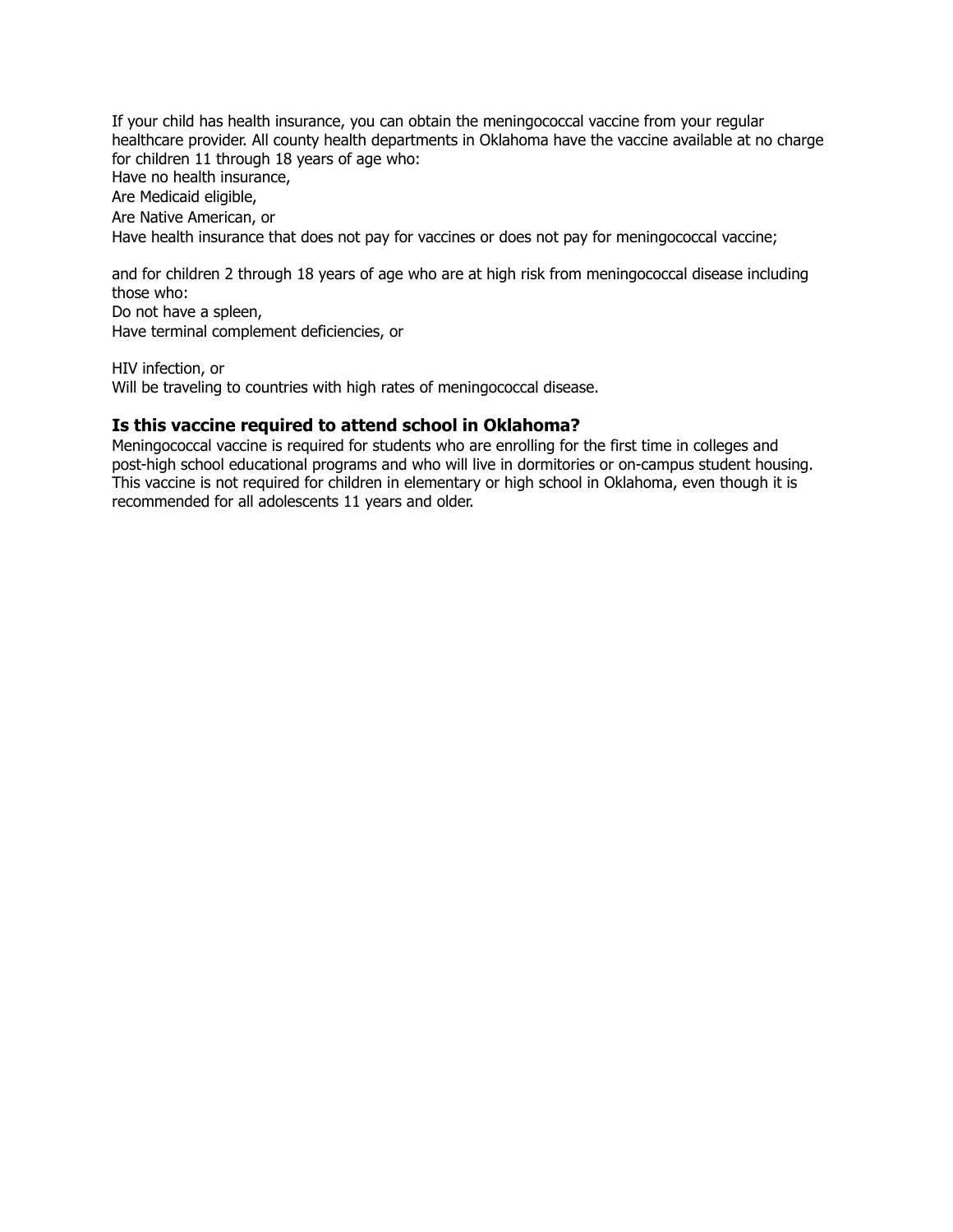If your child has health insurance, you can obtain the meningococcal vaccine from your regular healthcare provider. All county health departments in Oklahoma have the vaccine available at no charge for children 11 through 18 years of age who: Have no health insurance, Are Medicaid eligible, Are Native American, or Have health insurance that does not pay for vaccines or does not pay for meningococcal vaccine;

and for children 2 through 18 years of age who are at high risk from meningococcal disease including those who:

Do not have a spleen, Have terminal complement deficiencies, or

HIV infection, or Will be traveling to countries with high rates of meningococcal disease.

#### **Is this vaccine required to attend school in Oklahoma?**

Meningococcal vaccine is required for students who are enrolling for the first time in colleges and post-high school educational programs and who will live in dormitories or on-campus student housing. This vaccine is not required for children in elementary or high school in Oklahoma, even though it is recommended for all adolescents 11 years and older.